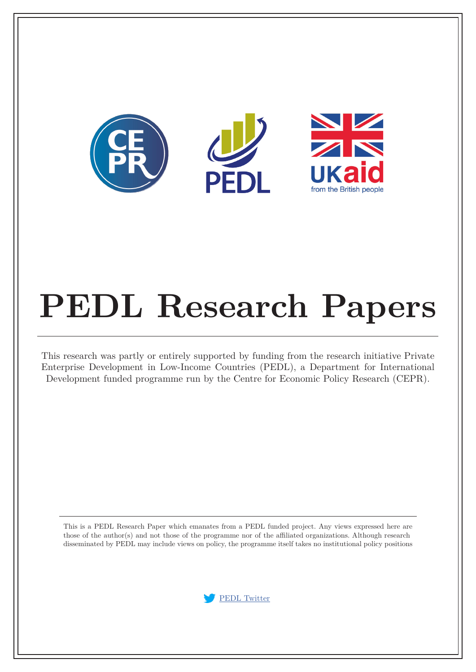

# **PEDL Research Papers**

This research was partly or entirely supported by funding from the research initiative Private Enterprise Development in Low-Income Countries (PEDL), a Department for International Development funded programme run by the Centre for Economic Policy Research (CEPR).

This is a PEDL Research Paper which emanates from a PEDL funded project. Any views expressed here are those of the author(s) and not those of the programme nor of the affiliated organizations. Although research disseminated by PEDL may include views on policy, the programme itself takes no institutional policy positions

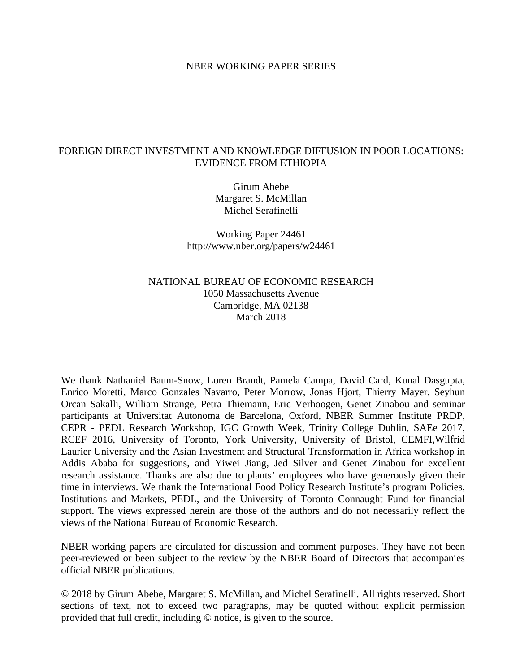#### NBER WORKING PAPER SERIES

#### FOREIGN DIRECT INVESTMENT AND KNOWLEDGE DIFFUSION IN POOR LOCATIONS: EVIDENCE FROM ETHIOPIA

Girum Abebe Margaret S. McMillan Michel Serafinelli

Working Paper 24461 http://www.nber.org/papers/w24461

#### NATIONAL BUREAU OF ECONOMIC RESEARCH 1050 Massachusetts Avenue Cambridge, MA 02138 March 2018

We thank Nathaniel Baum-Snow, Loren Brandt, Pamela Campa, David Card, Kunal Dasgupta, Enrico Moretti, Marco Gonzales Navarro, Peter Morrow, Jonas Hjort, Thierry Mayer, Seyhun Orcan Sakalli, William Strange, Petra Thiemann, Eric Verhoogen, Genet Zinabou and seminar participants at Universitat Autonoma de Barcelona, Oxford, NBER Summer Institute PRDP, CEPR - PEDL Research Workshop, IGC Growth Week, Trinity College Dublin, SAEe 2017, RCEF 2016, University of Toronto, York University, University of Bristol, CEMFI,Wilfrid Laurier University and the Asian Investment and Structural Transformation in Africa workshop in Addis Ababa for suggestions, and Yiwei Jiang, Jed Silver and Genet Zinabou for excellent research assistance. Thanks are also due to plants' employees who have generously given their time in interviews. We thank the International Food Policy Research Institute's program Policies, Institutions and Markets, PEDL, and the University of Toronto Connaught Fund for financial support. The views expressed herein are those of the authors and do not necessarily reflect the views of the National Bureau of Economic Research.

NBER working papers are circulated for discussion and comment purposes. They have not been peer-reviewed or been subject to the review by the NBER Board of Directors that accompanies official NBER publications.

© 2018 by Girum Abebe, Margaret S. McMillan, and Michel Serafinelli. All rights reserved. Short sections of text, not to exceed two paragraphs, may be quoted without explicit permission provided that full credit, including © notice, is given to the source.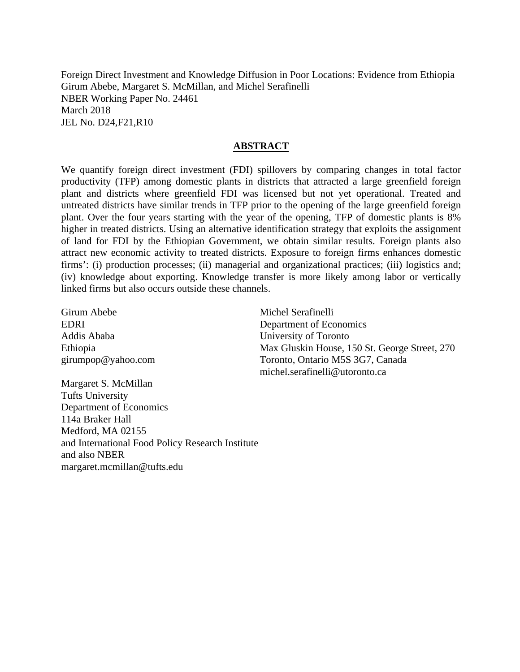Foreign Direct Investment and Knowledge Diffusion in Poor Locations: Evidence from Ethiopia Girum Abebe, Margaret S. McMillan, and Michel Serafinelli NBER Working Paper No. 24461 March 2018 JEL No. D24,F21,R10

#### **ABSTRACT**

We quantify foreign direct investment (FDI) spillovers by comparing changes in total factor productivity (TFP) among domestic plants in districts that attracted a large greenfield foreign plant and districts where greenfield FDI was licensed but not yet operational. Treated and untreated districts have similar trends in TFP prior to the opening of the large greenfield foreign plant. Over the four years starting with the year of the opening, TFP of domestic plants is 8% higher in treated districts. Using an alternative identification strategy that exploits the assignment of land for FDI by the Ethiopian Government, we obtain similar results. Foreign plants also attract new economic activity to treated districts. Exposure to foreign firms enhances domestic firms': (i) production processes; (ii) managerial and organizational practices; (iii) logistics and; (iv) knowledge about exporting. Knowledge transfer is more likely among labor or vertically linked firms but also occurs outside these channels.

Girum Abebe EDRI Addis Ababa Ethiopia girumpop@yahoo.com Michel Serafinelli Department of Economics University of Toronto Max Gluskin House, 150 St. George Street, 270 Toronto, Ontario M5S 3G7, Canada michel.serafinelli@utoronto.ca

Margaret S. McMillan Tufts University Department of Economics 114a Braker Hall Medford, MA 02155 and International Food Policy Research Institute and also NBER margaret.mcmillan@tufts.edu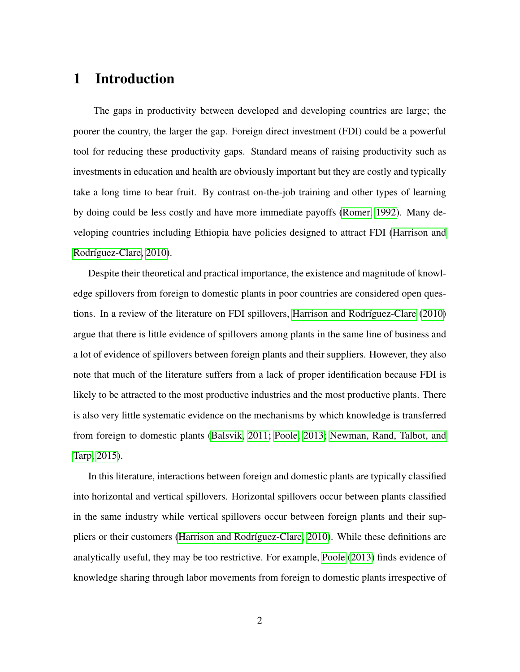## 1 Introduction

The gaps in productivity between developed and developing countries are large; the poorer the country, the larger the gap. Foreign direct investment (FDI) could be a powerful tool for reducing these productivity gaps. Standard means of raising productivity such as investments in education and health are obviously important but they are costly and typically take a long time to bear fruit. By contrast on-the-job training and other types of learning by doing could be less costly and have more immediate payoffs [\(Romer, 1992\)](#page-42-0). Many developing countries including Ethiopia have policies designed to attract FDI [\(Harrison and](#page-40-0) Rodríguez-Clare, 2010).

Despite their theoretical and practical importance, the existence and magnitude of knowledge spillovers from foreign to domestic plants in poor countries are considered open ques-tions. In a review of the literature on FDI spillovers, Harrison and Rodríguez-Clare [\(2010\)](#page-40-0) argue that there is little evidence of spillovers among plants in the same line of business and a lot of evidence of spillovers between foreign plants and their suppliers. However, they also note that much of the literature suffers from a lack of proper identification because FDI is likely to be attracted to the most productive industries and the most productive plants. There is also very little systematic evidence on the mechanisms by which knowledge is transferred from foreign to domestic plants [\(Balsvik, 2011;](#page-38-0) [Poole, 2013;](#page-42-1) [Newman, Rand, Talbot, and](#page-42-2) [Tarp, 2015\)](#page-42-2).

In this literature, interactions between foreign and domestic plants are typically classified into horizontal and vertical spillovers. Horizontal spillovers occur between plants classified in the same industry while vertical spillovers occur between foreign plants and their suppliers or their customers (Harrison and Rodríguez-Clare, 2010). While these definitions are analytically useful, they may be too restrictive. For example, [Poole](#page-42-1) [\(2013\)](#page-42-1) finds evidence of knowledge sharing through labor movements from foreign to domestic plants irrespective of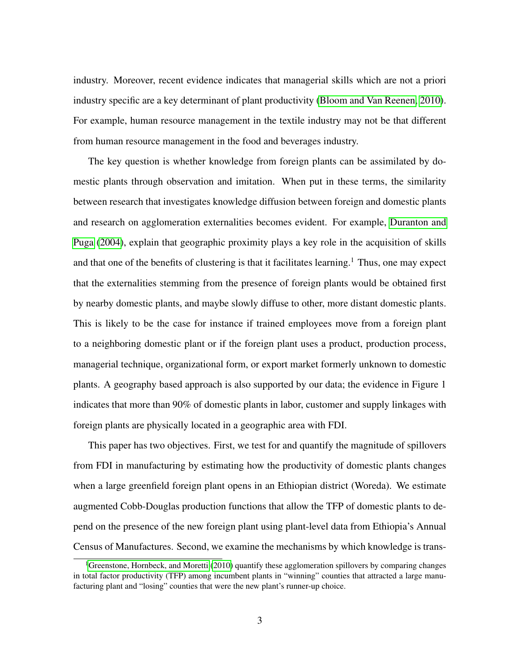industry. Moreover, recent evidence indicates that managerial skills which are not a priori industry specific are a key determinant of plant productivity [\(Bloom and Van Reenen, 2010\)](#page-38-1). For example, human resource management in the textile industry may not be that different from human resource management in the food and beverages industry.

The key question is whether knowledge from foreign plants can be assimilated by domestic plants through observation and imitation. When put in these terms, the similarity between research that investigates knowledge diffusion between foreign and domestic plants and research on agglomeration externalities becomes evident. For example, [Duranton and](#page-39-0) [Puga](#page-39-0) [\(2004\)](#page-39-0), explain that geographic proximity plays a key role in the acquisition of skills and that one of the benefits of clustering is that it facilitates learning.<sup>1</sup> Thus, one may expect that the externalities stemming from the presence of foreign plants would be obtained first by nearby domestic plants, and maybe slowly diffuse to other, more distant domestic plants. This is likely to be the case for instance if trained employees move from a foreign plant to a neighboring domestic plant or if the foreign plant uses a product, production process, managerial technique, organizational form, or export market formerly unknown to domestic plants. A geography based approach is also supported by our data; the evidence in Figure 1 indicates that more than 90% of domestic plants in labor, customer and supply linkages with foreign plants are physically located in a geographic area with FDI.

This paper has two objectives. First, we test for and quantify the magnitude of spillovers from FDI in manufacturing by estimating how the productivity of domestic plants changes when a large greenfield foreign plant opens in an Ethiopian district (Woreda). We estimate augmented Cobb-Douglas production functions that allow the TFP of domestic plants to depend on the presence of the new foreign plant using plant-level data from Ethiopia's Annual Census of Manufactures. Second, we examine the mechanisms by which knowledge is trans-

<sup>&</sup>lt;sup>1</sup>[Greenstone, Hornbeck, and Moretti](#page-40-1) [\(2010\)](#page-40-1) quantify these agglomeration spillovers by comparing changes in total factor productivity (TFP) among incumbent plants in "winning" counties that attracted a large manufacturing plant and "losing" counties that were the new plant's runner-up choice.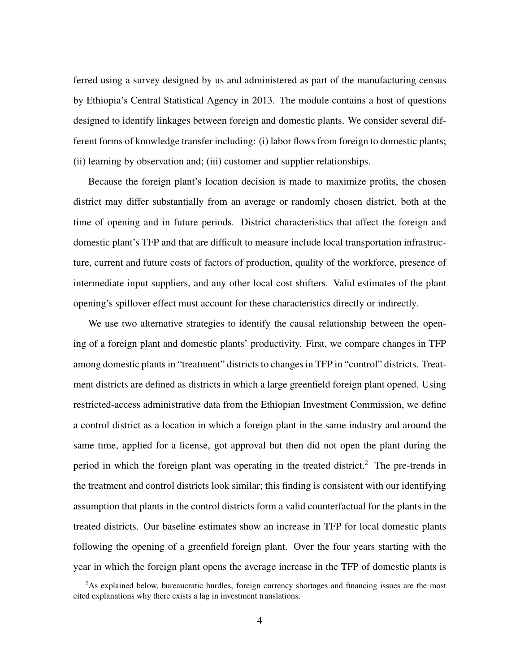ferred using a survey designed by us and administered as part of the manufacturing census by Ethiopia's Central Statistical Agency in 2013. The module contains a host of questions designed to identify linkages between foreign and domestic plants. We consider several different forms of knowledge transfer including: (i) labor flows from foreign to domestic plants; (ii) learning by observation and; (iii) customer and supplier relationships.

Because the foreign plant's location decision is made to maximize profits, the chosen district may differ substantially from an average or randomly chosen district, both at the time of opening and in future periods. District characteristics that affect the foreign and domestic plant's TFP and that are difficult to measure include local transportation infrastructure, current and future costs of factors of production, quality of the workforce, presence of intermediate input suppliers, and any other local cost shifters. Valid estimates of the plant opening's spillover effect must account for these characteristics directly or indirectly.

We use two alternative strategies to identify the causal relationship between the opening of a foreign plant and domestic plants' productivity. First, we compare changes in TFP among domestic plants in "treatment" districts to changes in TFP in "control" districts. Treatment districts are defined as districts in which a large greenfield foreign plant opened. Using restricted-access administrative data from the Ethiopian Investment Commission, we define a control district as a location in which a foreign plant in the same industry and around the same time, applied for a license, got approval but then did not open the plant during the period in which the foreign plant was operating in the treated district.<sup>2</sup> The pre-trends in the treatment and control districts look similar; this finding is consistent with our identifying assumption that plants in the control districts form a valid counterfactual for the plants in the treated districts. Our baseline estimates show an increase in TFP for local domestic plants following the opening of a greenfield foreign plant. Over the four years starting with the year in which the foreign plant opens the average increase in the TFP of domestic plants is

<sup>&</sup>lt;sup>2</sup>As explained below, bureaucratic hurdles, foreign currency shortages and financing issues are the most cited explanations why there exists a lag in investment translations.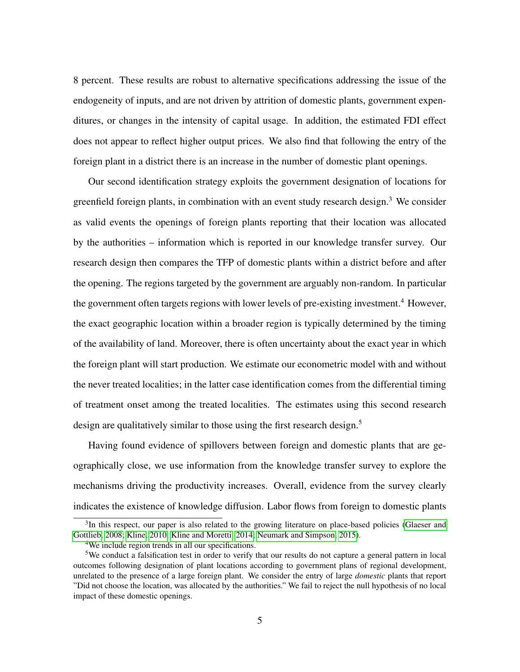8 percent. These results are robust to alternative specifications addressing the issue of the endogeneity of inputs, and are not driven by attrition of domestic plants, government expenditures, or changes in the intensity of capital usage. In addition, the estimated FDI effect does not appear to reflect higher output prices. We also find that following the entry of the foreign plant in a district there is an increase in the number of domestic plant openings.

Our second identification strategy exploits the government designation of locations for greenfield foreign plants, in combination with an event study research design.<sup>3</sup> We consider as valid events the openings of foreign plants reporting that their location was allocated by the authorities – information which is reported in our knowledge transfer survey. Our research design then compares the TFP of domestic plants within a district before and after the opening. The regions targeted by the government are arguably non-random. In particular the government often targets regions with lower levels of pre-existing investment.<sup>4</sup> However, the exact geographic location within a broader region is typically determined by the timing of the availability of land. Moreover, there is often uncertainty about the exact year in which the foreign plant will start production. We estimate our econometric model with and without the never treated localities; in the latter case identification comes from the differential timing of treatment onset among the treated localities. The estimates using this second research design are qualitatively similar to those using the first research design.<sup>5</sup>

Having found evidence of spillovers between foreign and domestic plants that are geographically close, we use information from the knowledge transfer survey to explore the mechanisms driving the productivity increases. Overall, evidence from the survey clearly indicates the existence of knowledge diffusion. Labor flows from foreign to domestic plants

<sup>&</sup>lt;sup>3</sup>In this respect, our paper is also related to the growing literature on place-based policies [\(Glaeser and](#page-40-2) [Gottlieb, 2008;](#page-40-2) [Kline, 2010;](#page-41-0) [Kline and Moretti, 2014;](#page-41-1) [Neumark and Simpson, 2015\)](#page-42-3).

<sup>4</sup>We include region trends in all our specifications.

<sup>5</sup>We conduct a falsification test in order to verify that our results do not capture a general pattern in local outcomes following designation of plant locations according to government plans of regional development, unrelated to the presence of a large foreign plant. We consider the entry of large *domestic* plants that report "Did not choose the location, was allocated by the authorities." We fail to reject the null hypothesis of no local impact of these domestic openings.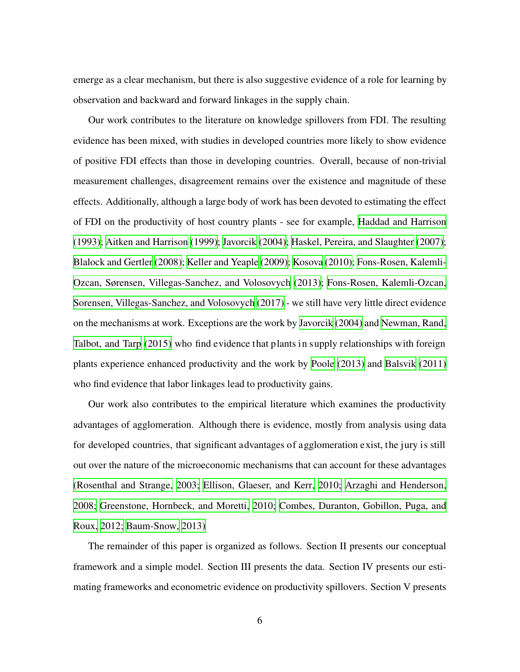emerge as a clear mechanism, but there is also suggestive evidence of a role for learning by observation and backward and forward linkages in the supply chain.

Our work contributes to the literature on knowledge spillovers from FDI. The resulting evidence has been mixed, with studies in developed countries more likely to show evidence of positive FDI effects than those in developing countries. Overall, because of non-trivial measurement challenges, disagreement remains over the existence and magnitude of these effects. Additionally, although a large body of work has been devoted to estimating the effect of FDI on the productivity of host country plants - see for example, Haddad and [Harrison](#page-40-3) [\(1993\)](#page-40-3); Aitken and [Harrison](#page-38-2) [\(1999\)](#page-38-2); [Javorcik](#page-41-2) [\(2004\)](#page-41-2); Haskel, Pereira, and [Slaughter](#page-41-3) [\(2007\)](#page-41-3); [Blalock](#page-38-3) and Gertler [\(2008\)](#page-38-3); Keller and [Yeaple](#page-41-4) [\(2009\);](#page-41-4) [Kosova](#page-41-5) [\(2010\);](#page-41-5) [Fons-Rosen,](#page-40-4) Kalemli-Ozcan, Sørensen, [Villegas-Sanchez,](#page-40-4) and Volosovych [\(2013\)](#page-40-4); Fons-Rosen, [Kalemli-Ozcan,](#page-40-5) Sorensen, [Villegas-Sanchez,](#page-40-5) and Volosovych [\(2017\)](#page-40-5) - we still have very little direct evidence on the mechanisms at work. Exceptions are the work by [Javorcik](#page-41-2) [\(2004\)](#page-41-2) and [Newman,](#page-42-2) Rand, [Talbot,](#page-42-2) and Tarp [\(2015\)](#page-42-2) who find evidence that plants in supply relationships with foreign plants experience enhanced productivity and the work by [Poole](#page-42-1) [\(2013\)](#page-42-1) and [Balsvik](#page-38-0) [\(2011\)](#page-38-0) who find evidence that labor linkages lead to productivity gains.

Our work also contributes to the empirical literature which examines the productivity advantages of agglomeration. Although there is evidence, mostly from analysis using data for developed countries, that significant advantages of agglomeration exist, the jury is still out over the nature of the microeconomic mechanisms that can account for these advantages [\(Rosenthal](#page-42-4) and Strange, [2003;](#page-42-4) Ellison, [Glaeser,](#page-40-6) and Kerr, [2010;](#page-40-6) Arzaghi and [Henderson,](#page-38-4) [2008;](#page-38-4) [Greenstone,](#page-40-1) Hornbeck, and Moretti, [2010;](#page-40-1) Combes, [Duranton,](#page-39-1) Gobillon, Puga, and [Roux,](#page-39-1) [2012;](#page-39-1) [Baum-Snow,](#page-38-5) [2013\)](#page-38-5)

The remainder of this paper is organized as follows. Section II presents our conceptual framework and a simple model. Section III presents the data. Section IV presents our estimating frameworks and econometric evidence on productivity spillovers. Section V presents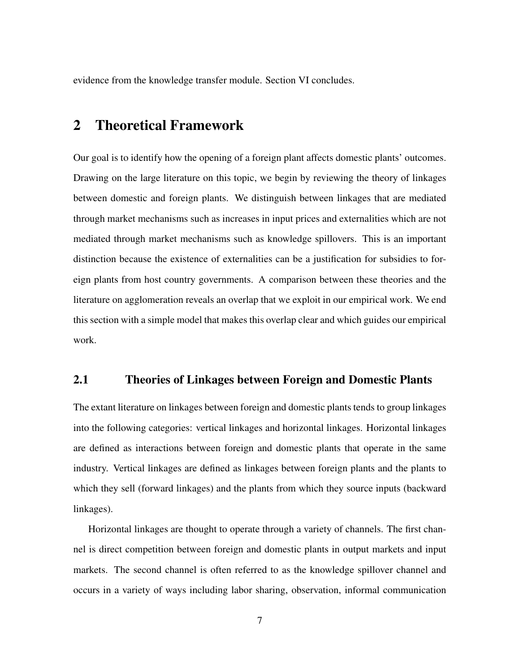evidence from the knowledge transfer module. Section VI concludes.

## 2 Theoretical Framework

Our goal is to identify how the opening of a foreign plant affects domestic plants' outcomes. Drawing on the large literature on this topic, we begin by reviewing the theory of linkages between domestic and foreign plants. We distinguish between linkages that are mediated through market mechanisms such as increases in input prices and externalities which are not mediated through market mechanisms such as knowledge spillovers. This is an important distinction because the existence of externalities can be a justification for subsidies to foreign plants from host country governments. A comparison between these theories and the literature on agglomeration reveals an overlap that we exploit in our empirical work. We end this section with a simple model that makes this overlap clear and which guides our empirical work.

#### 2.1 Theories of Linkages between Foreign and Domestic Plants

The extant literature on linkages between foreign and domestic plants tends to group linkages into the following categories: vertical linkages and horizontal linkages. Horizontal linkages are defined as interactions between foreign and domestic plants that operate in the same industry. Vertical linkages are defined as linkages between foreign plants and the plants to which they sell (forward linkages) and the plants from which they source inputs (backward linkages).

Horizontal linkages are thought to operate through a variety of channels. The first channel is direct competition between foreign and domestic plants in output markets and input markets. The second channel is often referred to as the knowledge spillover channel and occurs in a variety of ways including labor sharing, observation, informal communication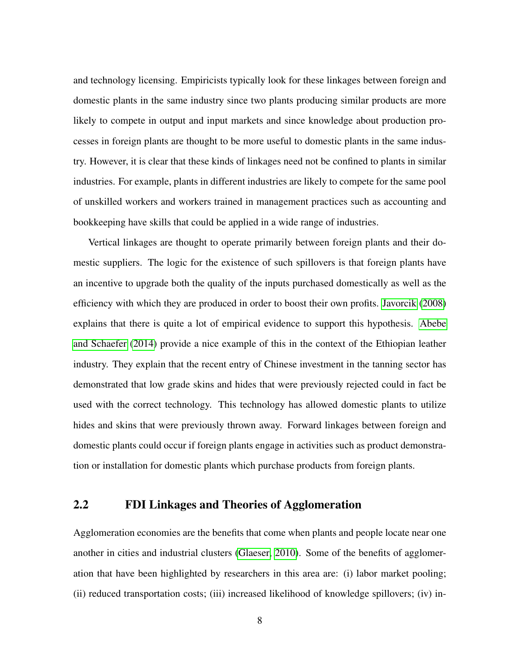and technology licensing. Empiricists typically look for these linkages between foreign and domestic plants in the same industry since two plants producing similar products are more likely to compete in output and input markets and since knowledge about production processes in foreign plants are thought to be more useful to domestic plants in the same industry. However, it is clear that these kinds of linkages need not be confined to plants in similar industries. For example, plants in different industries are likely to compete for the same pool of unskilled workers and workers trained in management practices such as accounting and bookkeeping have skills that could be applied in a wide range of industries.

Vertical linkages are thought to operate primarily between foreign plants and their domestic suppliers. The logic for the existence of such spillovers is that foreign plants have an incentive to upgrade both the quality of the inputs purchased domestically as well as the efficiency with which they are produced in order to boost their own profits. [Javorcik](#page-41-6) [\(2008\)](#page-41-6) explains that there is quite a lot of empirical evidence to support this hypothesis. [Abebe](#page-38-6) [and Schaefer](#page-38-6) [\(2014\)](#page-38-6) provide a nice example of this in the context of the Ethiopian leather industry. They explain that the recent entry of Chinese investment in the tanning sector has demonstrated that low grade skins and hides that were previously rejected could in fact be used with the correct technology. This technology has allowed domestic plants to utilize hides and skins that were previously thrown away. Forward linkages between foreign and domestic plants could occur if foreign plants engage in activities such as product demonstration or installation for domestic plants which purchase products from foreign plants.

#### 2.2 FDI Linkages and Theories of Agglomeration

Agglomeration economies are the benefits that come when plants and people locate near one another in cities and industrial clusters [\(Glaeser, 2010\)](#page-40-7). Some of the benefits of agglomeration that have been highlighted by researchers in this area are: (i) labor market pooling; (ii) reduced transportation costs; (iii) increased likelihood of knowledge spillovers; (iv) in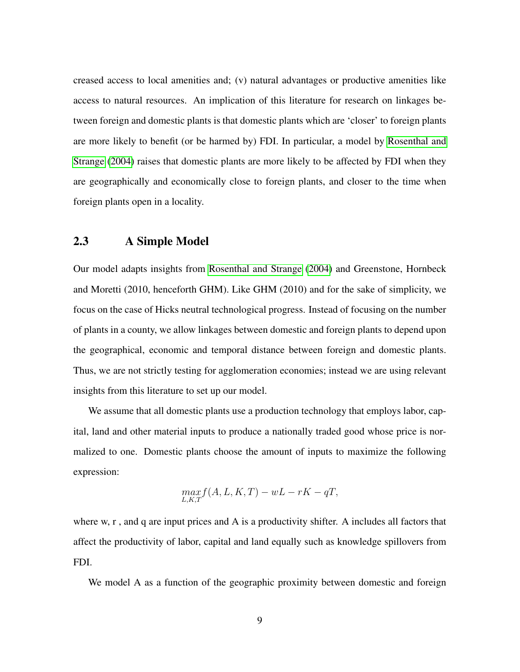creased access to local amenities and; (v) natural advantages or productive amenities like access to natural resources. An implication of this literature for research on linkages between foreign and domestic plants is that domestic plants which are 'closer' to foreign plants are more likely to benefit (or be harmed by) FDI. In particular, a model by [Rosenthal and](#page-42-5) [Strange](#page-42-5) [\(2004\)](#page-42-5) raises that domestic plants are more likely to be affected by FDI when they are geographically and economically close to foreign plants, and closer to the time when foreign plants open in a locality.

#### 2.3 A Simple Model

Our model adapts insights from [Rosenthal and Strange](#page-42-5) [\(2004\)](#page-42-5) and Greenstone, Hornbeck and Moretti (2010, henceforth GHM). Like GHM (2010) and for the sake of simplicity, we focus on the case of Hicks neutral technological progress. Instead of focusing on the number of plants in a county, we allow linkages between domestic and foreign plants to depend upon the geographical, economic and temporal distance between foreign and domestic plants. Thus, we are not strictly testing for agglomeration economies; instead we are using relevant insights from this literature to set up our model.

We assume that all domestic plants use a production technology that employs labor, capital, land and other material inputs to produce a nationally traded good whose price is normalized to one. Domestic plants choose the amount of inputs to maximize the following expression:

$$
\max_{L,K,T} f(A, L, K, T) - wL - rK - qT,
$$

where w, r, and q are input prices and A is a productivity shifter. A includes all factors that affect the productivity of labor, capital and land equally such as knowledge spillovers from FDI.

We model A as a function of the geographic proximity between domestic and foreign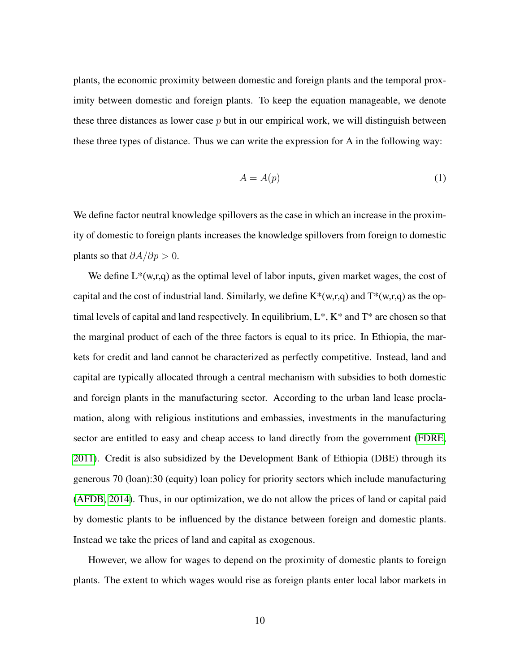plants, the economic proximity between domestic and foreign plants and the temporal proximity between domestic and foreign plants. To keep the equation manageable, we denote these three distances as lower case  $p$  but in our empirical work, we will distinguish between these three types of distance. Thus we can write the expression for A in the following way:

$$
A = A(p) \tag{1}
$$

We define factor neutral knowledge spillovers as the case in which an increase in the proximity of domestic to foreign plants increases the knowledge spillovers from foreign to domestic plants so that  $\partial A/\partial p > 0$ .

We define  $L^*(w,r,q)$  as the optimal level of labor inputs, given market wages, the cost of capital and the cost of industrial land. Similarly, we define  $K^*(w,r,q)$  and  $T^*(w,r,q)$  as the optimal levels of capital and land respectively. In equilibrium, L\*, K\* and T\* are chosen so that the marginal product of each of the three factors is equal to its price. In Ethiopia, the markets for credit and land cannot be characterized as perfectly competitive. Instead, land and capital are typically allocated through a central mechanism with subsidies to both domestic and foreign plants in the manufacturing sector. According to the urban land lease proclamation, along with religious institutions and embassies, investments in the manufacturing sector are entitled to easy and cheap access to land directly from the government [\(FDRE,](#page-40-8) [2011\)](#page-40-8). Credit is also subsidized by the Development Bank of Ethiopia (DBE) through its generous 70 (loan):30 (equity) loan policy for priority sectors which include manufacturing [\(AFDB, 2014\)](#page-38-7). Thus, in our optimization, we do not allow the prices of land or capital paid by domestic plants to be influenced by the distance between foreign and domestic plants. Instead we take the prices of land and capital as exogenous.

However, we allow for wages to depend on the proximity of domestic plants to foreign plants. The extent to which wages would rise as foreign plants enter local labor markets in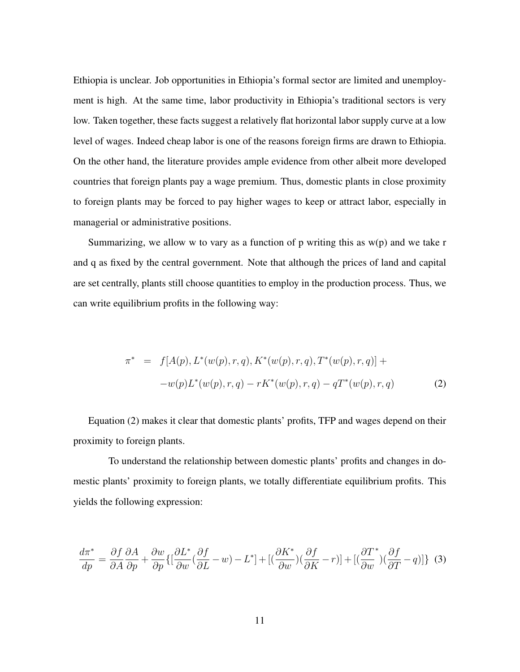Ethiopia is unclear. Job opportunities in Ethiopia's formal sector are limited and unemployment is high. At the same time, labor productivity in Ethiopia's traditional sectors is very low. Taken together, these facts suggest a relatively flat horizontal labor supply curve at a low level of wages. Indeed cheap labor is one of the reasons foreign firms are drawn to Ethiopia. On the other hand, the literature provides ample evidence from other albeit more developed countries that foreign plants pay a wage premium. Thus, domestic plants in close proximity to foreign plants may be forced to pay higher wages to keep or attract labor, especially in managerial or administrative positions.

Summarizing, we allow w to vary as a function of  $p$  writing this as  $w(p)$  and we take r and q as fixed by the central government. Note that although the prices of land and capital are set centrally, plants still choose quantities to employ in the production process. Thus, we can write equilibrium profits in the following way:

$$
\pi^* = f[A(p), L^*(w(p), r, q), K^*(w(p), r, q), T^*(w(p), r, q)] +
$$
  

$$
-w(p)L^*(w(p), r, q) - rK^*(w(p), r, q) - qT^*(w(p), r, q)
$$
 (2)

Equation (2) makes it clear that domestic plants' profits, TFP and wages depend on their proximity to foreign plants.

To understand the relationship between domestic plants' profits and changes in domestic plants' proximity to foreign plants, we totally differentiate equilibrium profits. This yields the following expression:

<span id="page-12-0"></span>
$$
\frac{d\pi^*}{dp} = \frac{\partial f}{\partial A} \frac{\partial A}{\partial p} + \frac{\partial w}{\partial p} \{ \left[ \frac{\partial L^*}{\partial w} (\frac{\partial f}{\partial L} - w) - L^* \right] + \left[ (\frac{\partial K^*}{\partial w}) (\frac{\partial f}{\partial K} - r) \right] + \left[ (\frac{\partial T^*}{\partial w}) (\frac{\partial f}{\partial T} - q) \right] \} (3)
$$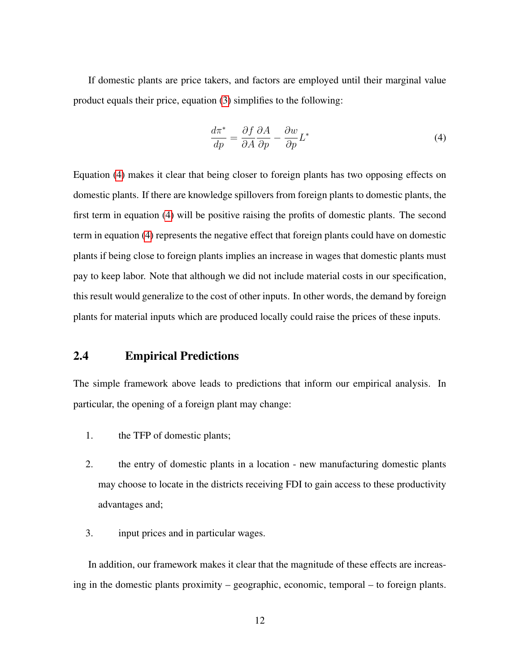If domestic plants are price takers, and factors are employed until their marginal value product equals their price, equation [\(3\)](#page-12-0) simplifies to the following:

<span id="page-13-0"></span>
$$
\frac{d\pi^*}{dp} = \frac{\partial f}{\partial A} \frac{\partial A}{\partial p} - \frac{\partial w}{\partial p} L^*
$$
\n(4)

Equation [\(4\)](#page-13-0) makes it clear that being closer to foreign plants has two opposing effects on domestic plants. If there are knowledge spillovers from foreign plants to domestic plants, the first term in equation [\(4\)](#page-13-0) will be positive raising the profits of domestic plants. The second term in equation [\(4\)](#page-13-0) represents the negative effect that foreign plants could have on domestic plants if being close to foreign plants implies an increase in wages that domestic plants must pay to keep labor. Note that although we did not include material costs in our specification, this result would generalize to the cost of other inputs. In other words, the demand by foreign plants for material inputs which are produced locally could raise the prices of these inputs.

### 2.4 Empirical Predictions

The simple framework above leads to predictions that inform our empirical analysis. In particular, the opening of a foreign plant may change:

- 1. the TFP of domestic plants;
- 2. the entry of domestic plants in a location new manufacturing domestic plants may choose to locate in the districts receiving FDI to gain access to these productivity advantages and;
- 3. input prices and in particular wages.

In addition, our framework makes it clear that the magnitude of these effects are increasing in the domestic plants proximity – geographic, economic, temporal – to foreign plants.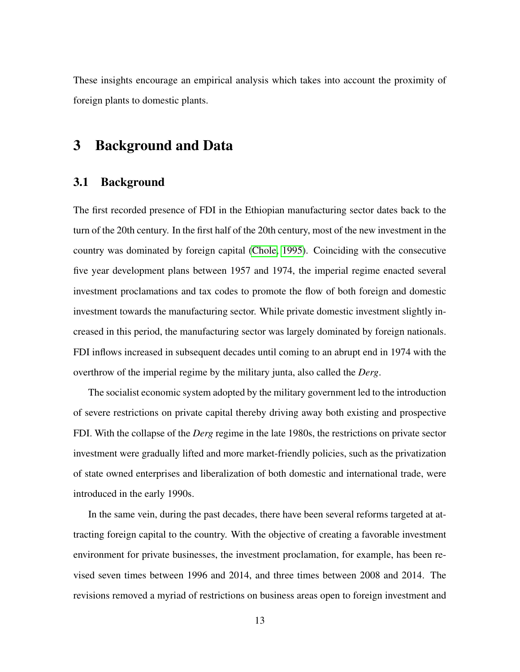These insights encourage an empirical analysis which takes into account the proximity of foreign plants to domestic plants.

## 3 Background and Data

#### 3.1 Background

The first recorded presence of FDI in the Ethiopian manufacturing sector dates back to the turn of the 20th century. In the first half of the 20th century, most of the new investment in the country was dominated by foreign capital [\(Chole, 1995\)](#page-39-2). Coinciding with the consecutive five year development plans between 1957 and 1974, the imperial regime enacted several investment proclamations and tax codes to promote the flow of both foreign and domestic investment towards the manufacturing sector. While private domestic investment slightly increased in this period, the manufacturing sector was largely dominated by foreign nationals. FDI inflows increased in subsequent decades until coming to an abrupt end in 1974 with the overthrow of the imperial regime by the military junta, also called the *Derg*.

The socialist economic system adopted by the military government led to the introduction of severe restrictions on private capital thereby driving away both existing and prospective FDI. With the collapse of the *Derg* regime in the late 1980s, the restrictions on private sector investment were gradually lifted and more market-friendly policies, such as the privatization of state owned enterprises and liberalization of both domestic and international trade, were introduced in the early 1990s.

In the same vein, during the past decades, there have been several reforms targeted at attracting foreign capital to the country. With the objective of creating a favorable investment environment for private businesses, the investment proclamation, for example, has been revised seven times between 1996 and 2014, and three times between 2008 and 2014. The revisions removed a myriad of restrictions on business areas open to foreign investment and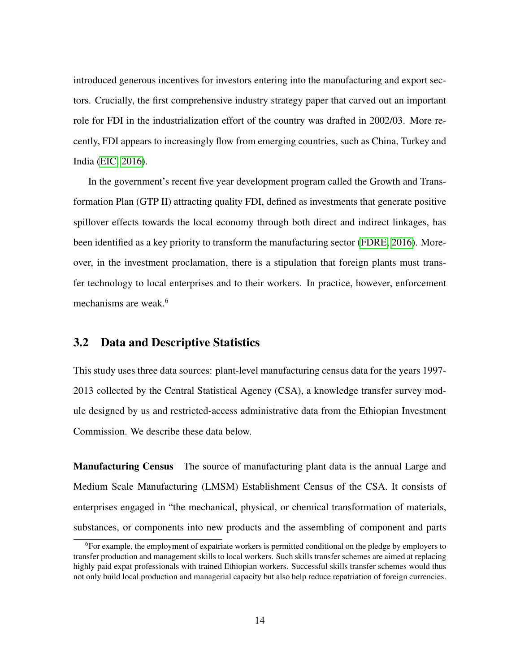introduced generous incentives for investors entering into the manufacturing and export sectors. Crucially, the first comprehensive industry strategy paper that carved out an important role for FDI in the industrialization effort of the country was drafted in 2002/03. More recently, FDI appears to increasingly flow from emerging countries, such as China, Turkey and India [\(EIC, 2016\)](#page-39-3).

In the government's recent five year development program called the Growth and Transformation Plan (GTP II) attracting quality FDI, defined as investments that generate positive spillover effects towards the local economy through both direct and indirect linkages, has been identified as a key priority to transform the manufacturing sector [\(FDRE, 2016\)](#page-40-9). Moreover, in the investment proclamation, there is a stipulation that foreign plants must transfer technology to local enterprises and to their workers. In practice, however, enforcement mechanisms are weak.<sup>6</sup>

#### <span id="page-15-0"></span>3.2 Data and Descriptive Statistics

This study uses three data sources: plant-level manufacturing census data for the years 1997- 2013 collected by the Central Statistical Agency (CSA), a knowledge transfer survey module designed by us and restricted-access administrative data from the Ethiopian Investment Commission. We describe these data below.

Manufacturing Census The source of manufacturing plant data is the annual Large and Medium Scale Manufacturing (LMSM) Establishment Census of the CSA. It consists of enterprises engaged in "the mechanical, physical, or chemical transformation of materials, substances, or components into new products and the assembling of component and parts

<sup>&</sup>lt;sup>6</sup>For example, the employment of expatriate workers is permitted conditional on the pledge by employers to transfer production and management skills to local workers. Such skills transfer schemes are aimed at replacing highly paid expat professionals with trained Ethiopian workers. Successful skills transfer schemes would thus not only build local production and managerial capacity but also help reduce repatriation of foreign currencies.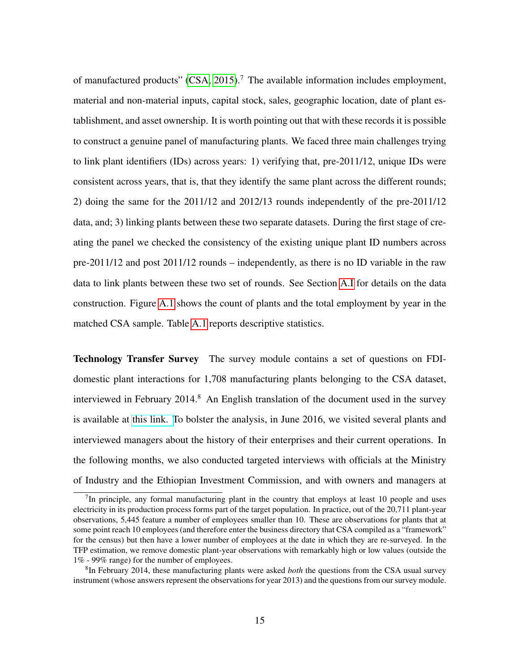of manufactured products"  $(CSA, 2015)$ .<sup>7</sup> The available information includes employment, material and non-material inputs, capital stock, sales, geographic location, date of plant establishment, and asset ownership. It is worth pointing out that with these records it is possible to construct a genuine panel of manufacturing plants. We faced three main challenges trying to link plant identifiers (IDs) across years: 1) verifying that, pre-2011/12, unique IDs were consistent across years, that is, that they identify the same plant across the different rounds; 2) doing the same for the 2011/12 and 2012/13 rounds independently of the pre-2011/12 data, and; 3) linking plants between these two separate datasets. During the first stage of creating the panel we checked the consistency of the existing unique plant ID numbers across pre-2011/12 and post 2011/12 rounds – independently, as there is no ID variable in the raw data to link plants between these two set of rounds. See Section [A.I](#page-57-0) for details on the data construction. Figure [A.1](#page-44-0) shows the count of plants and the total employment by year in the matched CSA sample. Table [A.1](#page-49-0) reports descriptive statistics.

Technology Transfer Survey The survey module contains a set of questions on FDIdomestic plant interactions for 1,708 manufacturing plants belonging to the CSA dataset, interviewed in February 2014.<sup>8</sup> An English translation of the document used in the survey is available at [this link. T](https://drive.google.com/uc?https://drive.google.com/uc?export=download&id=1uzo7Bw9Ii0zYkUYN22AgccSO6pGnJLVB)o bolster the analysis, in June 2016, we visited several plants and interviewed managers about the history of their enterprises and their current operations. In the following months, we also conducted targeted interviews with officials at the Ministry of Industry and the Ethiopian Investment Commission, and with owners and managers at

 $7$ In principle, any formal manufacturing plant in the country that employs at least 10 people and uses electricity in its production process forms part of the target population. In practice, out of the 20,711 plant-year observations, 5,445 feature a number of employees smaller than 10. These are observations for plants that at some point reach 10 employees (and therefore enter the business directory that CSA compiled as a "framework" for the census) but then have a lower number of employees at the date in which they are re-surveyed. In the TFP estimation, we remove domestic plant-year observations with remarkably high or low values (outside the 1% - 99% range) for the number of employees.

<sup>8</sup> In February 2014, these manufacturing plants were asked *both* the questions from the CSA usual survey instrument (whose answers represent the observations for year 2013) and the questions from our survey module.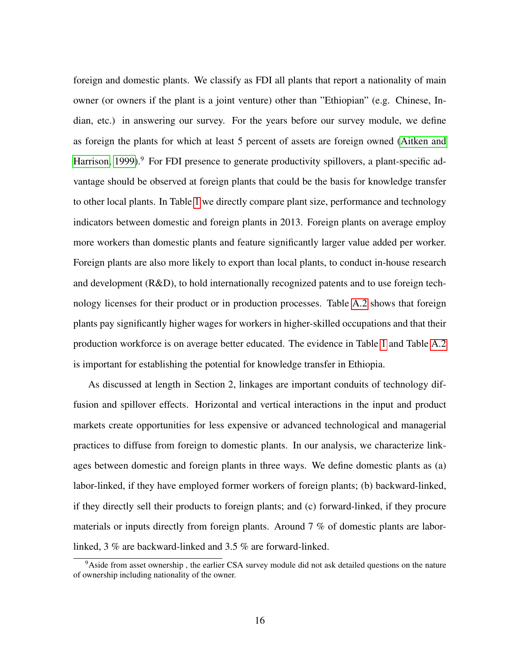foreign and domestic plants. We classify as FDI all plants that report a nationality of main owner (or owners if the plant is a joint venture) other than "Ethiopian" (e.g. Chinese, Indian, etc.) in answering our survey. For the years before our survey module, we define as foreign the plants for which at least 5 percent of assets are foreign owned [\(Aitken and](#page-38-2) [Harrison, 1999\)](#page-38-2).<sup>9</sup> For FDI presence to generate productivity spillovers, a plant-specific advantage should be observed at foreign plants that could be the basis for knowledge transfer to other local plants. In Table [1](#page-49-0) we directly compare plant size, performance and technology indicators between domestic and foreign plants in 2013. Foreign plants on average employ more workers than domestic plants and feature significantly larger value added per worker. Foreign plants are also more likely to export than local plants, to conduct in-house research and development (R&D), to hold internationally recognized patents and to use foreign technology licenses for their product or in production processes. Table [A.2](#page-50-0) shows that foreign plants pay significantly higher wages for workers in higher-skilled occupations and that their production workforce is on average better educated. The evidence in Table [1](#page-49-0) and Table [A.2](#page-50-0) is important for establishing the potential for knowledge transfer in Ethiopia.

As discussed at length in Section 2, linkages are important conduits of technology diffusion and spillover effects. Horizontal and vertical interactions in the input and product markets create opportunities for less expensive or advanced technological and managerial practices to diffuse from foreign to domestic plants. In our analysis, we characterize linkages between domestic and foreign plants in three ways. We define domestic plants as (a) labor-linked, if they have employed former workers of foreign plants; (b) backward-linked, if they directly sell their products to foreign plants; and (c) forward-linked, if they procure materials or inputs directly from foreign plants. Around 7 % of domestic plants are laborlinked, 3 % are backward-linked and 3.5 % are forward-linked.

<sup>&</sup>lt;sup>9</sup>Aside from asset ownership, the earlier CSA survey module did not ask detailed questions on the nature of ownership including nationality of the owner.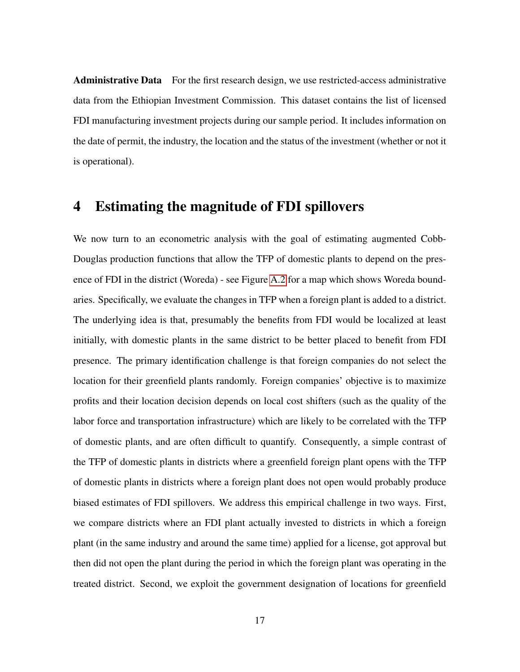Administrative Data For the first research design, we use restricted-access administrative data from the Ethiopian Investment Commission. This dataset contains the list of licensed FDI manufacturing investment projects during our sample period. It includes information on the date of permit, the industry, the location and the status of the investment (whether or not it is operational).

## <span id="page-18-0"></span>4 Estimating the magnitude of FDI spillovers

We now turn to an econometric analysis with the goal of estimating augmented Cobb-Douglas production functions that allow the TFP of domestic plants to depend on the presence of FDI in the district (Woreda) - see Figure [A.2](#page-45-0) for a map which shows Woreda boundaries. Specifically, we evaluate the changes in TFP when a foreign plant is added to a district. The underlying idea is that, presumably the benefits from FDI would be localized at least initially, with domestic plants in the same district to be better placed to benefit from FDI presence. The primary identification challenge is that foreign companies do not select the location for their greenfield plants randomly. Foreign companies' objective is to maximize profits and their location decision depends on local cost shifters (such as the quality of the labor force and transportation infrastructure) which are likely to be correlated with the TFP of domestic plants, and are often difficult to quantify. Consequently, a simple contrast of the TFP of domestic plants in districts where a greenfield foreign plant opens with the TFP of domestic plants in districts where a foreign plant does not open would probably produce biased estimates of FDI spillovers. We address this empirical challenge in two ways. First, we compare districts where an FDI plant actually invested to districts in which a foreign plant (in the same industry and around the same time) applied for a license, got approval but then did not open the plant during the period in which the foreign plant was operating in the treated district. Second, we exploit the government designation of locations for greenfield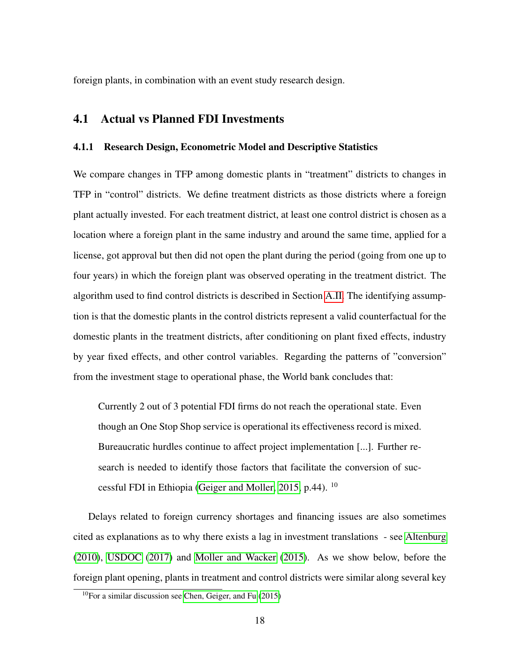foreign plants, in combination with an event study research design.

#### <span id="page-19-0"></span>4.1 Actual vs Planned FDI Investments

#### 4.1.1 Research Design, Econometric Model and Descriptive Statistics

We compare changes in TFP among domestic plants in "treatment" districts to changes in TFP in "control" districts. We define treatment districts as those districts where a foreign plant actually invested. For each treatment district, at least one control district is chosen as a location where a foreign plant in the same industry and around the same time, applied for a license, got approval but then did not open the plant during the period (going from one up to four years) in which the foreign plant was observed operating in the treatment district. The algorithm used to find control districts is described in Section [A.II.](#page-58-0) The identifying assumption is that the domestic plants in the control districts represent a valid counterfactual for the domestic plants in the treatment districts, after conditioning on plant fixed effects, industry by year fixed effects, and other control variables. Regarding the patterns of "conversion" from the investment stage to operational phase, the World bank concludes that:

Currently 2 out of 3 potential FDI firms do not reach the operational state. Even though an One Stop Shop service is operational its effectiveness record is mixed. Bureaucratic hurdles continue to affect project implementation [...]. Further research is needed to identify those factors that facilitate the conversion of successful FDI in Ethiopia [\(Geiger and Moller, 2015,](#page-40-10) p.44). <sup>10</sup>

Delays related to foreign currency shortages and financing issues are also sometimes cited as explanations as to why there exists a lag in investment translations - see [Altenburg](#page-38-8) [\(2010\)](#page-38-8), [USDOC](#page-43-0) [\(2017\)](#page-43-0) and [Moller and Wacker](#page-42-6) [\(2015\)](#page-42-6). As we show below, before the foreign plant opening, plants in treatment and control districts were similar along several key

 $10$ For a similar discussion see [Chen, Geiger, and Fu](#page-39-5) [\(2015\)](#page-39-5)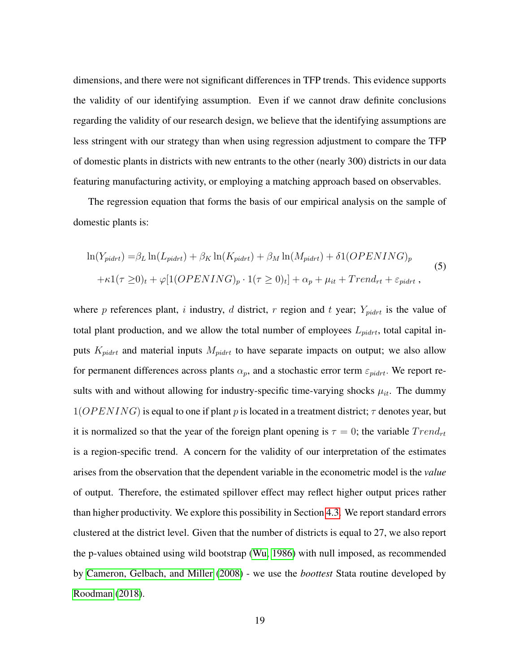dimensions, and there were not significant differences in TFP trends. This evidence supports the validity of our identifying assumption. Even if we cannot draw definite conclusions regarding the validity of our research design, we believe that the identifying assumptions are less stringent with our strategy than when using regression adjustment to compare the TFP of domestic plants in districts with new entrants to the other (nearly 300) districts in our data featuring manufacturing activity, or employing a matching approach based on observables.

<span id="page-20-0"></span>The regression equation that forms the basis of our empirical analysis on the sample of domestic plants is:

$$
\ln(Y_{pidrt}) = \beta_L \ln(L_{pidrt}) + \beta_K \ln(K_{pidrt}) + \beta_M \ln(M_{pidrt}) + \delta 1(OPENING)_p
$$
  
+ $\kappa 1(\tau \ge 0)_t + \varphi[1(OPENING)_p \cdot 1(\tau \ge 0)_t] + \alpha_p + \mu_{it} + Trend_{rt} + \varepsilon_{pidrt}$ , (5)

where p references plant, i industry, d district, r region and t year;  $Y_{pidrt}$  is the value of total plant production, and we allow the total number of employees  $L_{pidrt}$ , total capital inputs  $K_{pidrt}$  and material inputs  $M_{pidrt}$  to have separate impacts on output; we also allow for permanent differences across plants  $\alpha_p$ , and a stochastic error term  $\varepsilon_{pidrt}$ . We report results with and without allowing for industry-specific time-varying shocks  $\mu_{it}$ . The dummy  $1(OPENING)$  is equal to one if plant p is located in a treatment district;  $\tau$  denotes year, but it is normalized so that the year of the foreign plant opening is  $\tau = 0$ ; the variable  $Trend_{rt}$ is a region-specific trend. A concern for the validity of our interpretation of the estimates arises from the observation that the dependent variable in the econometric model is the *value* of output. Therefore, the estimated spillover effect may reflect higher output prices rather than higher productivity. We explore this possibility in Section [4.3.](#page-27-0) We report standard errors clustered at the district level. Given that the number of districts is equal to 27, we also report the p-values obtained using wild bootstrap [\(Wu, 1986\)](#page-43-1) with null imposed, as recommended by [Cameron, Gelbach, and Miller](#page-39-6) [\(2008\)](#page-39-6) - we use the *boottest* Stata routine developed by [Roodman](#page-42-7) [\(2018\)](#page-42-7).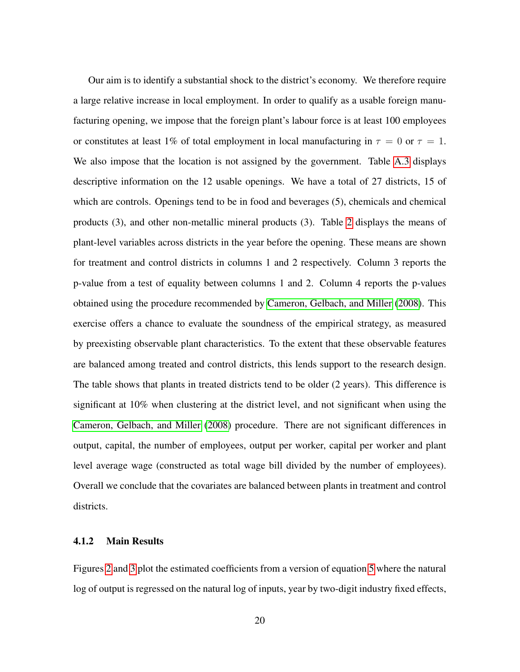Our aim is to identify a substantial shock to the district's economy. We therefore require a large relative increase in local employment. In order to qualify as a usable foreign manufacturing opening, we impose that the foreign plant's labour force is at least 100 employees or constitutes at least 1% of total employment in local manufacturing in  $\tau = 0$  or  $\tau = 1$ . We also impose that the location is not assigned by the government. Table [A.3](#page-51-0) displays descriptive information on the 12 usable openings. We have a total of 27 districts, 15 of which are controls. Openings tend to be in food and beverages (5), chemicals and chemical products (3), and other non-metallic mineral products (3). Table [2](#page-50-0) displays the means of plant-level variables across districts in the year before the opening. These means are shown for treatment and control districts in columns 1 and 2 respectively. Column 3 reports the p-value from a test of equality between columns 1 and 2. Column 4 reports the p-values obtained using the procedure recommended by [Cameron, Gelbach, and Miller](#page-39-6) [\(2008\)](#page-39-6). This exercise offers a chance to evaluate the soundness of the empirical strategy, as measured by preexisting observable plant characteristics. To the extent that these observable features are balanced among treated and control districts, this lends support to the research design. The table shows that plants in treated districts tend to be older (2 years). This difference is significant at 10% when clustering at the district level, and not significant when using the [Cameron, Gelbach, and Miller](#page-39-6) [\(2008\)](#page-39-6) procedure. There are not significant differences in output, capital, the number of employees, output per worker, capital per worker and plant level average wage (constructed as total wage bill divided by the number of employees). Overall we conclude that the covariates are balanced between plants in treatment and control districts.

#### 4.1.2 Main Results

Figures [2](#page-45-0) and [3](#page-46-0) plot the estimated coefficients from a version of equation [5](#page-20-0) where the natural log of output is regressed on the natural log of inputs, year by two-digit industry fixed effects,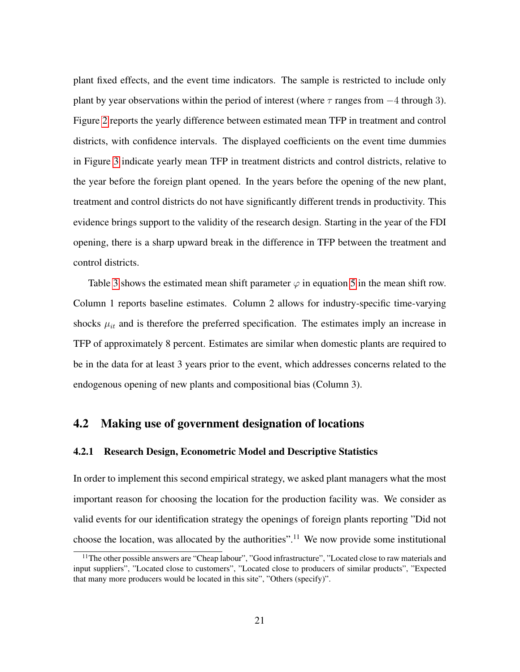plant fixed effects, and the event time indicators. The sample is restricted to include only plant by year observations within the period of interest (where  $\tau$  ranges from  $-4$  through 3). Figure [2](#page-45-0) reports the yearly difference between estimated mean TFP in treatment and control districts, with confidence intervals. The displayed coefficients on the event time dummies in Figure [3](#page-46-0) indicate yearly mean TFP in treatment districts and control districts, relative to the year before the foreign plant opened. In the years before the opening of the new plant, treatment and control districts do not have significantly different trends in productivity. This evidence brings support to the validity of the research design. Starting in the year of the FDI opening, there is a sharp upward break in the difference in TFP between the treatment and control districts.

Table [3](#page-51-0) shows the estimated mean shift parameter  $\varphi$  in equation [5](#page-20-0) in the mean shift row. Column 1 reports baseline estimates. Column 2 allows for industry-specific time-varying shocks  $\mu_{it}$  and is therefore the preferred specification. The estimates imply an increase in TFP of approximately 8 percent. Estimates are similar when domestic plants are required to be in the data for at least 3 years prior to the event, which addresses concerns related to the endogenous opening of new plants and compositional bias (Column 3).

#### <span id="page-22-0"></span>4.2 Making use of government designation of locations

#### 4.2.1 Research Design, Econometric Model and Descriptive Statistics

In order to implement this second empirical strategy, we asked plant managers what the most important reason for choosing the location for the production facility was. We consider as valid events for our identification strategy the openings of foreign plants reporting "Did not choose the location, was allocated by the authorities".<sup>11</sup> We now provide some institutional

<sup>&</sup>lt;sup>11</sup>The other possible answers are "Cheap labour", "Good infrastructure", "Located close to raw materials and input suppliers", "Located close to customers", "Located close to producers of similar products", "Expected that many more producers would be located in this site", "Others (specify)".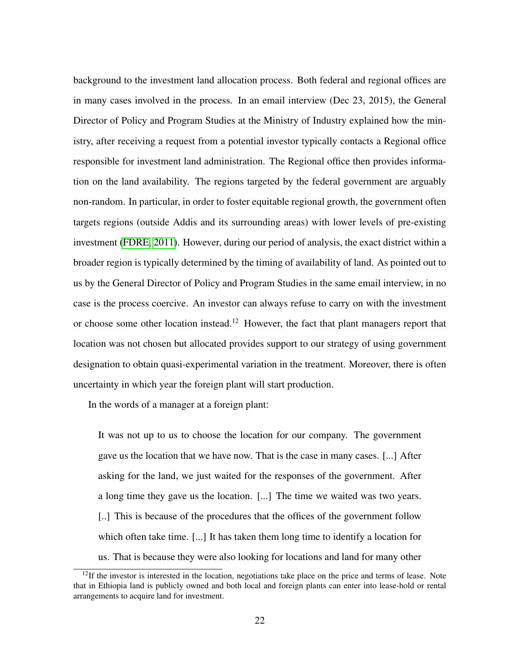background to the investment land allocation process. Both federal and regional offices are in many cases involved in the process. In an email interview (Dec 23, 2015), the General Director of Policy and Program Studies at the Ministry of Industry explained how the ministry, after receiving a request from a potential investor typically contacts a Regional office responsible for investment land administration. The Regional office then provides information on the land availability. The regions targeted by the federal government are arguably non-random. In particular, in order to foster equitable regional growth, the government often targets regions (outside Addis and its surrounding areas) with lower levels of pre-existing investment [\(FDRE, 2011\)](#page-40-8). However, during our period of analysis, the exact district within a broader region is typically determined by the timing of availability of land. As pointed out to us by the General Director of Policy and Program Studies in the same email interview, in no case is the process coercive. An investor can always refuse to carry on with the investment or choose some other location instead.<sup>12</sup> However, the fact that plant managers report that location was not chosen but allocated provides support to our strategy of using government designation to obtain quasi-experimental variation in the treatment. Moreover, there is often uncertainty in which year the foreign plant will start production.

In the words of a manager at a foreign plant:

It was not up to us to choose the location for our company. The government gave us the location that we have now. That is the case in many cases. [...] After asking for the land, we just waited for the responses of the government. After a long time they gave us the location. [...] The time we waited was two years. [..] This is because of the procedures that the offices of the government follow which often take time. [...] It has taken them long time to identify a location for us. That is because they were also looking for locations and land for many other

 $12$ If the investor is interested in the location, negotiations take place on the price and terms of lease. Note that in Ethiopia land is publicly owned and both local and foreign plants can enter into lease-hold or rental arrangements to acquire land for investment.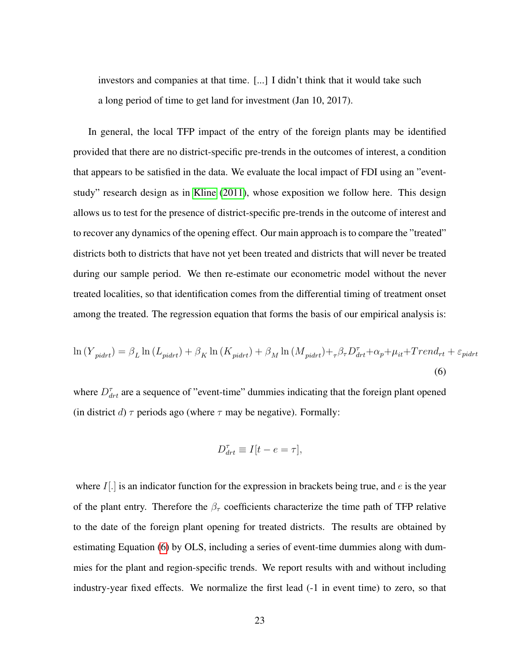investors and companies at that time. [...] I didn't think that it would take such a long period of time to get land for investment (Jan 10, 2017).

In general, the local TFP impact of the entry of the foreign plants may be identified provided that there are no district-specific pre-trends in the outcomes of interest, a condition that appears to be satisfied in the data. We evaluate the local impact of FDI using an "eventstudy" research design as in [Kline](#page-41-7) [\(2011\)](#page-41-7), whose exposition we follow here. This design allows us to test for the presence of district-specific pre-trends in the outcome of interest and to recover any dynamics of the opening effect. Our main approach is to compare the "treated" districts both to districts that have not yet been treated and districts that will never be treated during our sample period. We then re-estimate our econometric model without the never treated localities, so that identification comes from the differential timing of treatment onset among the treated. The regression equation that forms the basis of our empirical analysis is:

$$
\ln(Y_{pidrt}) = \beta_L \ln(L_{pidrt}) + \beta_K \ln(K_{pidrt}) + \beta_M \ln(M_{pidrt}) + \tau \beta_T D_{drt}^T + \alpha_p + \mu_{it} + Trend_{rt} + \varepsilon_{pidrt}
$$
\n(6)

where  $D_{drt}^{\tau}$  are a sequence of "event-time" dummies indicating that the foreign plant opened (in district d)  $\tau$  periods ago (where  $\tau$  may be negative). Formally:

<span id="page-24-0"></span>
$$
D_{drt}^{\tau} \equiv I[t - e = \tau],
$$

where  $I$ [.] is an indicator function for the expression in brackets being true, and  $e$  is the year of the plant entry. Therefore the  $\beta_{\tau}$  coefficients characterize the time path of TFP relative to the date of the foreign plant opening for treated districts. The results are obtained by estimating Equation [\(6\)](#page-24-0) by OLS, including a series of event-time dummies along with dummies for the plant and region-specific trends. We report results with and without including industry-year fixed effects. We normalize the first lead (-1 in event time) to zero, so that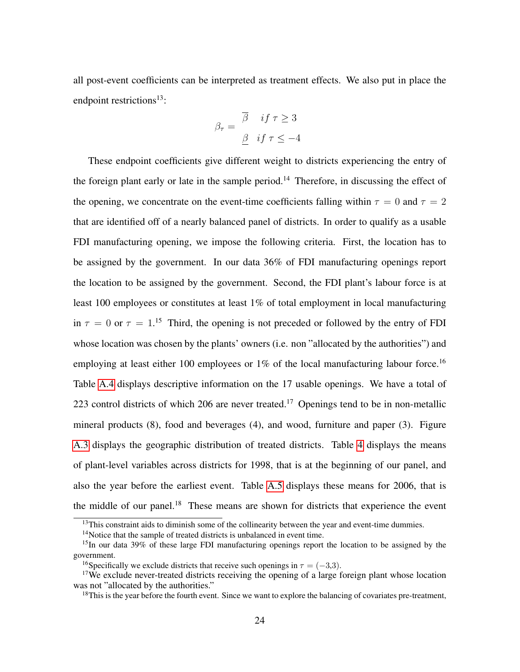all post-event coefficients can be interpreted as treatment effects. We also put in place the endpoint restrictions<sup>13</sup>:

$$
\beta_{\tau} = \begin{array}{cc} \overline{\beta} & \text{if } \tau \ge 3 \\ \underline{\beta} & \text{if } \tau \le -4 \end{array}
$$

These endpoint coefficients give different weight to districts experiencing the entry of the foreign plant early or late in the sample period.<sup>14</sup> Therefore, in discussing the effect of the opening, we concentrate on the event-time coefficients falling within  $\tau = 0$  and  $\tau = 2$ that are identified off of a nearly balanced panel of districts. In order to qualify as a usable FDI manufacturing opening, we impose the following criteria. First, the location has to be assigned by the government. In our data 36% of FDI manufacturing openings report the location to be assigned by the government. Second, the FDI plant's labour force is at least 100 employees or constitutes at least 1% of total employment in local manufacturing in  $\tau = 0$  or  $\tau = 1$ .<sup>15</sup> Third, the opening is not preceded or followed by the entry of FDI whose location was chosen by the plants' owners (i.e. non "allocated by the authorities") and employing at least either 100 employees or 1% of the local manufacturing labour force.<sup>16</sup> Table [A.4](#page-51-1) displays descriptive information on the 17 usable openings. We have a total of 223 control districts of which 206 are never treated.<sup>17</sup> Openings tend to be in non-metallic mineral products (8), food and beverages (4), and wood, furniture and paper (3). Figure [A.3](#page-46-0) displays the geographic distribution of treated districts. Table [4](#page-51-1) displays the means of plant-level variables across districts for 1998, that is at the beginning of our panel, and also the year before the earliest event. Table [A.5](#page-52-0) displays these means for 2006, that is the middle of our panel.<sup>18</sup> These means are shown for districts that experience the event

 $13$ This constraint aids to diminish some of the collinearity between the year and event-time dummies.

<sup>&</sup>lt;sup>14</sup>Notice that the sample of treated districts is unbalanced in event time.

<sup>&</sup>lt;sup>15</sup>In our data 39% of these large FDI manufacturing openings report the location to be assigned by the government.

<sup>&</sup>lt;sup>16</sup>Specifically we exclude districts that receive such openings in  $\tau = (-3,3)$ .

<sup>&</sup>lt;sup>17</sup>We exclude never-treated districts receiving the opening of a large foreign plant whose location was not "allocated by the authorities."

<sup>&</sup>lt;sup>18</sup>This is the year before the fourth event. Since we want to explore the balancing of covariates pre-treatment,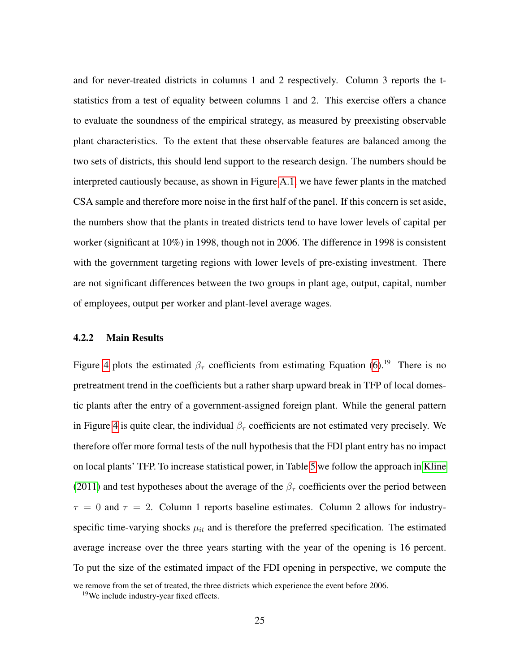and for never-treated districts in columns 1 and 2 respectively. Column 3 reports the tstatistics from a test of equality between columns 1 and 2. This exercise offers a chance to evaluate the soundness of the empirical strategy, as measured by preexisting observable plant characteristics. To the extent that these observable features are balanced among the two sets of districts, this should lend support to the research design. The numbers should be interpreted cautiously because, as shown in Figure [A.1,](#page-44-0) we have fewer plants in the matched CSA sample and therefore more noise in the first half of the panel. If this concern is set aside, the numbers show that the plants in treated districts tend to have lower levels of capital per worker (significant at 10%) in 1998, though not in 2006. The difference in 1998 is consistent with the government targeting regions with lower levels of pre-existing investment. There are not significant differences between the two groups in plant age, output, capital, number of employees, output per worker and plant-level average wages.

#### 4.2.2 Main Results

Figure [4](#page-47-0) plots the estimated  $\beta_{\tau}$  coefficients from estimating Equation [\(6\)](#page-24-0).<sup>19</sup> There is no pretreatment trend in the coefficients but a rather sharp upward break in TFP of local domestic plants after the entry of a government-assigned foreign plant. While the general pattern in Figure [4](#page-47-0) is quite clear, the individual  $\beta_{\tau}$  coefficients are not estimated very precisely. We therefore offer more formal tests of the null hypothesis that the FDI plant entry has no impact on local plants' TFP. To increase statistical power, in Table [5](#page-52-0) we follow the approach in [Kline](#page-41-7) [\(2011\)](#page-41-7) and test hypotheses about the average of the  $\beta_{\tau}$  coefficients over the period between  $\tau = 0$  and  $\tau = 2$ . Column 1 reports baseline estimates. Column 2 allows for industryspecific time-varying shocks  $\mu_{it}$  and is therefore the preferred specification. The estimated average increase over the three years starting with the year of the opening is 16 percent. To put the size of the estimated impact of the FDI opening in perspective, we compute the

we remove from the set of treated, the three districts which experience the event before 2006.

<sup>19</sup>We include industry-year fixed effects.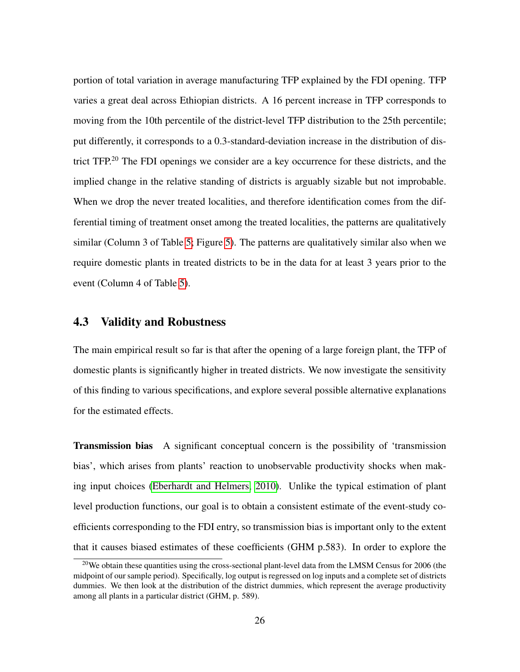portion of total variation in average manufacturing TFP explained by the FDI opening. TFP varies a great deal across Ethiopian districts. A 16 percent increase in TFP corresponds to moving from the 10th percentile of the district-level TFP distribution to the 25th percentile; put differently, it corresponds to a 0.3-standard-deviation increase in the distribution of district TFP.<sup>20</sup> The FDI openings we consider are a key occurrence for these districts, and the implied change in the relative standing of districts is arguably sizable but not improbable. When we drop the never treated localities, and therefore identification comes from the differential timing of treatment onset among the treated localities, the patterns are qualitatively similar (Column 3 of Table [5;](#page-52-0) Figure [5\)](#page-48-0). The patterns are qualitatively similar also when we require domestic plants in treated districts to be in the data for at least 3 years prior to the event (Column 4 of Table [5\)](#page-52-0).

#### <span id="page-27-0"></span>4.3 Validity and Robustness

The main empirical result so far is that after the opening of a large foreign plant, the TFP of domestic plants is significantly higher in treated districts. We now investigate the sensitivity of this finding to various specifications, and explore several possible alternative explanations for the estimated effects.

Transmission bias A significant conceptual concern is the possibility of 'transmission bias', which arises from plants' reaction to unobservable productivity shocks when making input choices [\(Eberhardt and Helmers, 2010\)](#page-39-7). Unlike the typical estimation of plant level production functions, our goal is to obtain a consistent estimate of the event-study coefficients corresponding to the FDI entry, so transmission bias is important only to the extent that it causes biased estimates of these coefficients (GHM p.583). In order to explore the

 $20$ We obtain these quantities using the cross-sectional plant-level data from the LMSM Census for 2006 (the midpoint of our sample period). Specifically, log output is regressed on log inputs and a complete set of districts dummies. We then look at the distribution of the district dummies, which represent the average productivity among all plants in a particular district (GHM, p. 589).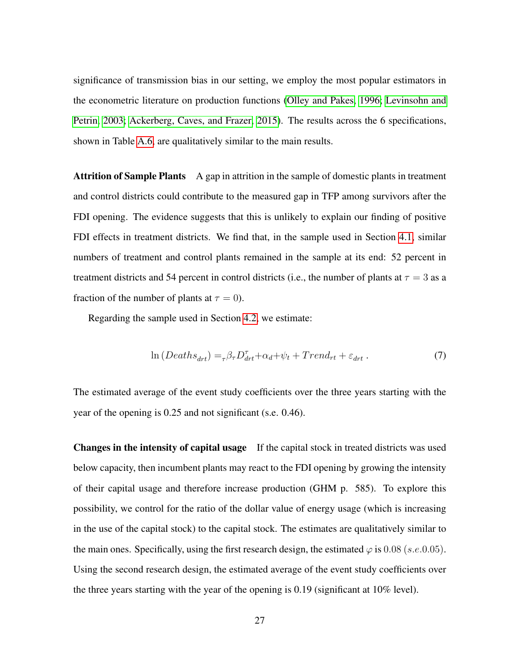significance of transmission bias in our setting, we employ the most popular estimators in the econometric literature on production functions [\(Olley and Pakes, 1996;](#page-42-8) [Levinsohn and](#page-41-8) [Petrin, 2003;](#page-41-8) [Ackerberg, Caves, and Frazer, 2015\)](#page-38-9). The results across the 6 specifications, shown in Table [A.6,](#page-53-0) are qualitatively similar to the main results.

Attrition of Sample Plants A gap in attrition in the sample of domestic plants in treatment and control districts could contribute to the measured gap in TFP among survivors after the FDI opening. The evidence suggests that this is unlikely to explain our finding of positive FDI effects in treatment districts. We find that, in the sample used in Section [4.1,](#page-19-0) similar numbers of treatment and control plants remained in the sample at its end: 52 percent in treatment districts and 54 percent in control districts (i.e., the number of plants at  $\tau = 3$  as a fraction of the number of plants at  $\tau = 0$ ).

Regarding the sample used in Section [4.2,](#page-22-0) we estimate:

$$
\ln\left(Deaths_{drt}\right) = {}_{\tau}\beta_{\tau}D_{drt}^{\tau} + \alpha_d + \psi_t + Trend_{rt} + \varepsilon_{drt}.
$$
\n(7)

The estimated average of the event study coefficients over the three years starting with the year of the opening is 0.25 and not significant (s.e. 0.46).

Changes in the intensity of capital usage If the capital stock in treated districts was used below capacity, then incumbent plants may react to the FDI opening by growing the intensity of their capital usage and therefore increase production (GHM p. 585). To explore this possibility, we control for the ratio of the dollar value of energy usage (which is increasing in the use of the capital stock) to the capital stock. The estimates are qualitatively similar to the main ones. Specifically, using the first research design, the estimated  $\varphi$  is 0.08 (s.e.0.05). Using the second research design, the estimated average of the event study coefficients over the three years starting with the year of the opening is 0.19 (significant at 10% level).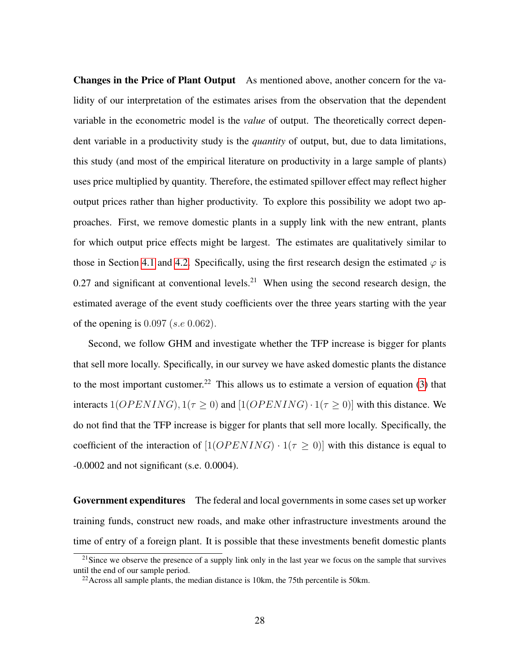Changes in the Price of Plant Output As mentioned above, another concern for the validity of our interpretation of the estimates arises from the observation that the dependent variable in the econometric model is the *value* of output. The theoretically correct dependent variable in a productivity study is the *quantity* of output, but, due to data limitations, this study (and most of the empirical literature on productivity in a large sample of plants) uses price multiplied by quantity. Therefore, the estimated spillover effect may reflect higher output prices rather than higher productivity. To explore this possibility we adopt two approaches. First, we remove domestic plants in a supply link with the new entrant, plants for which output price effects might be largest. The estimates are qualitatively similar to those in Section [4.1](#page-19-0) and [4.2.](#page-22-0) Specifically, using the first research design the estimated  $\varphi$  is 0.27 and significant at conventional levels.<sup>21</sup> When using the second research design, the estimated average of the event study coefficients over the three years starting with the year of the opening is  $0.097$  (s.e  $0.062$ ).

Second, we follow GHM and investigate whether the TFP increase is bigger for plants that sell more locally. Specifically, in our survey we have asked domestic plants the distance to the most important customer.<sup>22</sup> This allows us to estimate a version of equation [\(3\)](#page-51-0) that interacts  $1(OPENING)$ ,  $1(\tau \ge 0)$  and  $[1(OPENING) \cdot 1(\tau \ge 0)]$  with this distance. We do not find that the TFP increase is bigger for plants that sell more locally. Specifically, the coefficient of the interaction of  $[1(OPENING) \cdot 1(\tau \ge 0)]$  with this distance is equal to -0.0002 and not significant (s.e. 0.0004).

Government expenditures The federal and local governments in some cases set up worker training funds, construct new roads, and make other infrastructure investments around the time of entry of a foreign plant. It is possible that these investments benefit domestic plants

 $21$ Since we observe the presence of a supply link only in the last year we focus on the sample that survives until the end of our sample period.

 $22$ Across all sample plants, the median distance is 10km, the 75th percentile is 50km.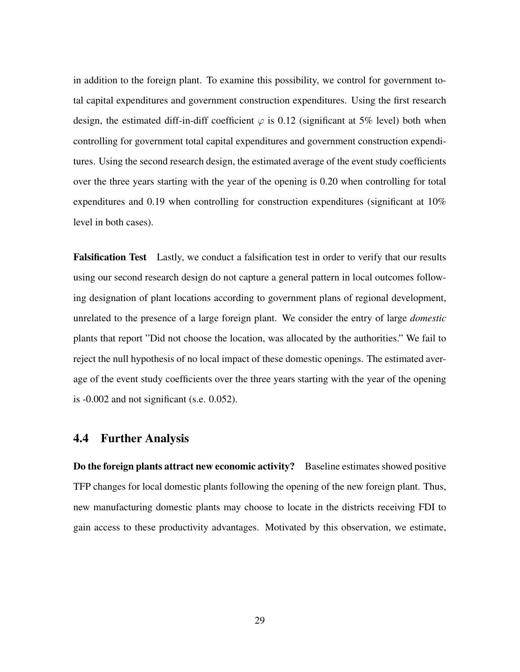in addition to the foreign plant. To examine this possibility, we control for government total capital expenditures and government construction expenditures. Using the first research design, the estimated diff-in-diff coefficient  $\varphi$  is 0.12 (significant at 5% level) both when controlling for government total capital expenditures and government construction expenditures. Using the second research design, the estimated average of the event study coefficients over the three years starting with the year of the opening is 0.20 when controlling for total expenditures and 0.19 when controlling for construction expenditures (significant at 10% level in both cases).

Falsification Test Lastly, we conduct a falsification test in order to verify that our results using our second research design do not capture a general pattern in local outcomes following designation of plant locations according to government plans of regional development, unrelated to the presence of a large foreign plant. We consider the entry of large *domestic* plants that report "Did not choose the location, was allocated by the authorities." We fail to reject the null hypothesis of no local impact of these domestic openings. The estimated average of the event study coefficients over the three years starting with the year of the opening is -0.002 and not significant (s.e. 0.052).

#### 4.4 Further Analysis

Do the foreign plants attract new economic activity? Baseline estimates showed positive TFP changes for local domestic plants following the opening of the new foreign plant. Thus, new manufacturing domestic plants may choose to locate in the districts receiving FDI to gain access to these productivity advantages. Motivated by this observation, we estimate,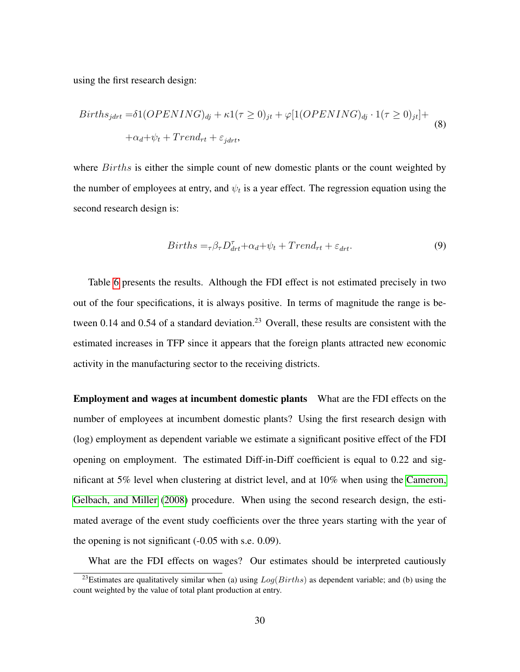<span id="page-31-0"></span>using the first research design:

$$
Births_{jdrt} = \delta 1(OPENING)_{dj} + \kappa 1(\tau \ge 0)_{jt} + \varphi [1(OPENING)_{dj} \cdot 1(\tau \ge 0)_{jt}] +
$$
  
 
$$
+\alpha_d + \psi_t + Trend_{rt} + \varepsilon_{jdrt},
$$
 (8)

where *Births* is either the simple count of new domestic plants or the count weighted by the number of employees at entry, and  $\psi_t$  is a year effect. The regression equation using the second research design is:

<span id="page-31-1"></span>
$$
Births = \tau \beta \tau D_{drt}^{\tau} + \alpha_d + \psi_t + Trend_{rt} + \varepsilon_{drt}.
$$
\n(9)

Table [6](#page-53-0) presents the results. Although the FDI effect is not estimated precisely in two out of the four specifications, it is always positive. In terms of magnitude the range is between  $0.14$  and  $0.54$  of a standard deviation.<sup>23</sup> Overall, these results are consistent with the estimated increases in TFP since it appears that the foreign plants attracted new economic activity in the manufacturing sector to the receiving districts.

Employment and wages at incumbent domestic plants What are the FDI effects on the number of employees at incumbent domestic plants? Using the first research design with (log) employment as dependent variable we estimate a significant positive effect of the FDI opening on employment. The estimated Diff-in-Diff coefficient is equal to 0.22 and significant at 5% level when clustering at district level, and at 10% when using the [Cameron,](#page-39-6) [Gelbach, and Miller](#page-39-6) [\(2008\)](#page-39-6) procedure. When using the second research design, the estimated average of the event study coefficients over the three years starting with the year of the opening is not significant (-0.05 with s.e. 0.09).

What are the FDI effects on wages? Our estimates should be interpreted cautiously

<sup>&</sup>lt;sup>23</sup>Estimates are qualitatively similar when (a) using  $Log(Births)$  as dependent variable; and (b) using the count weighted by the value of total plant production at entry.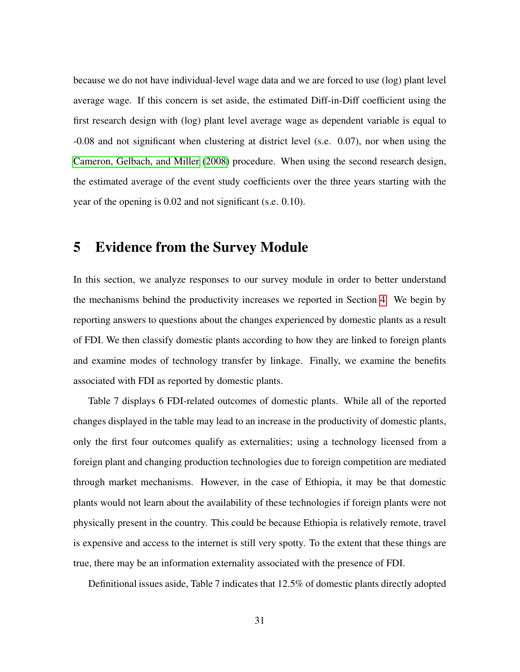because we do not have individual-level wage data and we are forced to use (log) plant level average wage. If this concern is set aside, the estimated Diff-in-Diff coefficient using the first research design with (log) plant level average wage as dependent variable is equal to -0.08 and not significant when clustering at district level (s.e. 0.07), nor when using the [Cameron, Gelbach, and Miller](#page-39-6) [\(2008\)](#page-39-6) procedure. When using the second research design, the estimated average of the event study coefficients over the three years starting with the year of the opening is 0.02 and not significant (s.e. 0.10).

## 5 Evidence from the Survey Module

In this section, we analyze responses to our survey module in order to better understand the mechanisms behind the productivity increases we reported in Section [4.](#page-18-0) We begin by reporting answers to questions about the changes experienced by domestic plants as a result of FDI. We then classify domestic plants according to how they are linked to foreign plants and examine modes of technology transfer by linkage. Finally, we examine the benefits associated with FDI as reported by domestic plants.

Table 7 displays 6 FDI-related outcomes of domestic plants. While all of the reported changes displayed in the table may lead to an increase in the productivity of domestic plants, only the first four outcomes qualify as externalities; using a technology licensed from a foreign plant and changing production technologies due to foreign competition are mediated through market mechanisms. However, in the case of Ethiopia, it may be that domestic plants would not learn about the availability of these technologies if foreign plants were not physically present in the country. This could be because Ethiopia is relatively remote, travel is expensive and access to the internet is still very spotty. To the extent that these things are true, there may be an information externality associated with the presence of FDI.

Definitional issues aside, Table 7 indicates that 12.5% of domestic plants directly adopted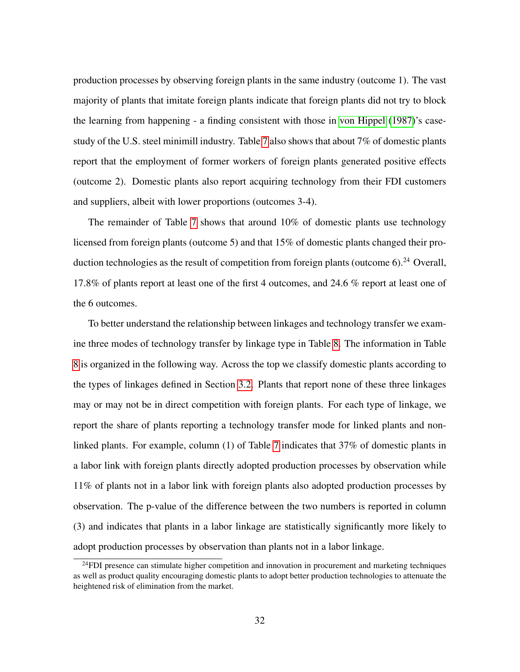production processes by observing foreign plants in the same industry (outcome 1). The vast majority of plants that imitate foreign plants indicate that foreign plants did not try to block the learning from happening - a finding consistent with those in [von Hippel](#page-43-2) [\(1987\)](#page-43-2)'s casestudy of the U.S. steel minimill industry. Table [7](#page-54-0) also shows that about 7% of domestic plants report that the employment of former workers of foreign plants generated positive effects (outcome 2). Domestic plants also report acquiring technology from their FDI customers and suppliers, albeit with lower proportions (outcomes 3-4).

The remainder of Table [7](#page-54-0) shows that around 10% of domestic plants use technology licensed from foreign plants (outcome 5) and that 15% of domestic plants changed their production technologies as the result of competition from foreign plants (outcome  $6$ ).<sup>24</sup> Overall, 17.8% of plants report at least one of the first 4 outcomes, and 24.6 % report at least one of the 6 outcomes.

To better understand the relationship between linkages and technology transfer we examine three modes of technology transfer by linkage type in Table [8.](#page-55-0) The information in Table [8](#page-55-0) is organized in the following way. Across the top we classify domestic plants according to the types of linkages defined in Section [3.2.](#page-15-0) Plants that report none of these three linkages may or may not be in direct competition with foreign plants. For each type of linkage, we report the share of plants reporting a technology transfer mode for linked plants and nonlinked plants. For example, column (1) of Table [7](#page-54-0) indicates that 37% of domestic plants in a labor link with foreign plants directly adopted production processes by observation while 11% of plants not in a labor link with foreign plants also adopted production processes by observation. The p-value of the difference between the two numbers is reported in column (3) and indicates that plants in a labor linkage are statistically significantly more likely to adopt production processes by observation than plants not in a labor linkage.

 $^{24}$ FDI presence can stimulate higher competition and innovation in procurement and marketing techniques as well as product quality encouraging domestic plants to adopt better production technologies to attenuate the heightened risk of elimination from the market.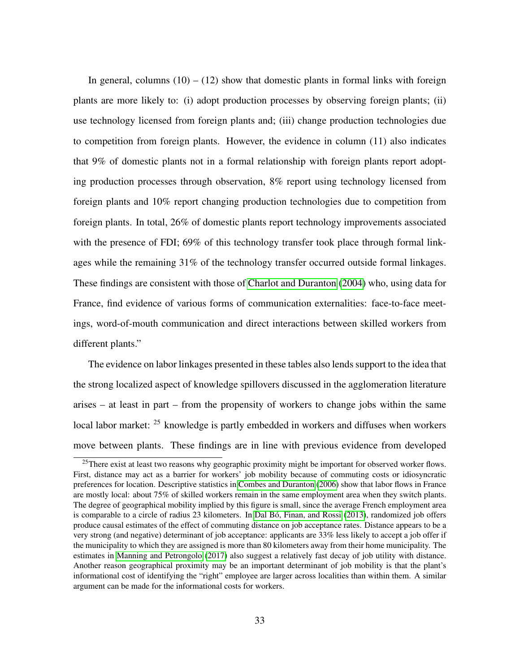In general, columns  $(10) - (12)$  show that domestic plants in formal links with foreign plants are more likely to: (i) adopt production processes by observing foreign plants; (ii) use technology licensed from foreign plants and; (iii) change production technologies due to competition from foreign plants. However, the evidence in column (11) also indicates that 9% of domestic plants not in a formal relationship with foreign plants report adopting production processes through observation, 8% report using technology licensed from foreign plants and 10% report changing production technologies due to competition from foreign plants. In total, 26% of domestic plants report technology improvements associated with the presence of FDI; 69% of this technology transfer took place through formal linkages while the remaining 31% of the technology transfer occurred outside formal linkages. These findings are consistent with those of [Charlot and Duranton](#page-39-8) [\(2004\)](#page-39-8) who, using data for France, find evidence of various forms of communication externalities: face-to-face meetings, word-of-mouth communication and direct interactions between skilled workers from different plants."

The evidence on labor linkages presented in these tables also lends support to the idea that the strong localized aspect of knowledge spillovers discussed in the agglomeration literature arises – at least in part – from the propensity of workers to change jobs within the same local labor market: <sup>25</sup> knowledge is partly embedded in workers and diffuses when workers move between plants. These findings are in line with previous evidence from developed

<sup>&</sup>lt;sup>25</sup>There exist at least two reasons why geographic proximity might be important for observed worker flows. First, distance may act as a barrier for workers' job mobility because of commuting costs or idiosyncratic preferences for location. Descriptive statistics in [Combes and Duranton](#page-39-9) [\(2006\)](#page-39-9) show that labor flows in France are mostly local: about 75% of skilled workers remain in the same employment area when they switch plants. The degree of geographical mobility implied by this figure is small, since the average French employment area is comparable to a circle of radius 23 kilometers. In Dal Bó, Finan, and Rossi [\(2013\)](#page-39-10), randomized job offers produce causal estimates of the effect of commuting distance on job acceptance rates. Distance appears to be a very strong (and negative) determinant of job acceptance: applicants are 33% less likely to accept a job offer if the municipality to which they are assigned is more than 80 kilometers away from their home municipality. The estimates in [Manning and Petrongolo](#page-42-9) [\(2017\)](#page-42-9) also suggest a relatively fast decay of job utility with distance. Another reason geographical proximity may be an important determinant of job mobility is that the plant's informational cost of identifying the "right" employee are larger across localities than within them. A similar argument can be made for the informational costs for workers.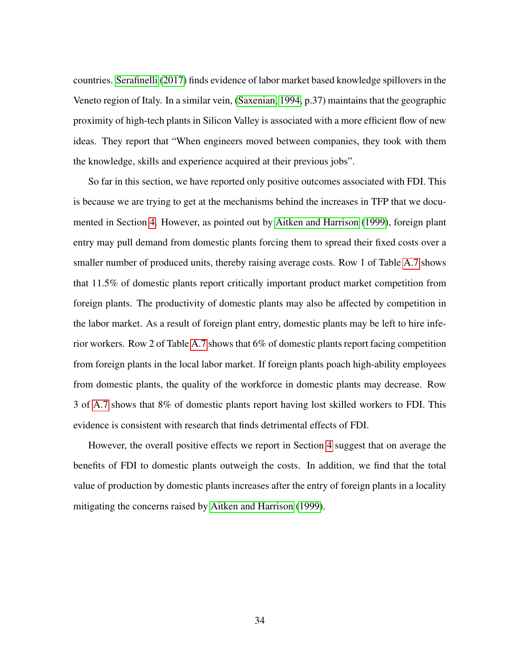countries. [Serafinelli](#page-42-10) [\(2017\)](#page-42-10) finds evidence of labor market based knowledge spillovers in the Veneto region of Italy. In a similar vein, [\(Saxenian, 1994,](#page-42-11) p.37) maintains that the geographic proximity of high-tech plants in Silicon Valley is associated with a more efficient flow of new ideas. They report that "When engineers moved between companies, they took with them the knowledge, skills and experience acquired at their previous jobs".

So far in this section, we have reported only positive outcomes associated with FDI. This is because we are trying to get at the mechanisms behind the increases in TFP that we documented in Section [4.](#page-18-0) However, as pointed out by [Aitken and Harrison](#page-38-2) [\(1999\)](#page-38-2), foreign plant entry may pull demand from domestic plants forcing them to spread their fixed costs over a smaller number of produced units, thereby raising average costs. Row 1 of Table [A.7](#page-54-0) shows that 11.5% of domestic plants report critically important product market competition from foreign plants. The productivity of domestic plants may also be affected by competition in the labor market. As a result of foreign plant entry, domestic plants may be left to hire inferior workers. Row 2 of Table [A.7](#page-54-0) shows that 6% of domestic plants report facing competition from foreign plants in the local labor market. If foreign plants poach high-ability employees from domestic plants, the quality of the workforce in domestic plants may decrease. Row 3 of [A.7](#page-54-0) shows that 8% of domestic plants report having lost skilled workers to FDI. This evidence is consistent with research that finds detrimental effects of FDI.

However, the overall positive effects we report in Section [4](#page-18-0) suggest that on average the benefits of FDI to domestic plants outweigh the costs. In addition, we find that the total value of production by domestic plants increases after the entry of foreign plants in a locality mitigating the concerns raised by [Aitken and Harrison](#page-38-2) [\(1999\)](#page-38-2).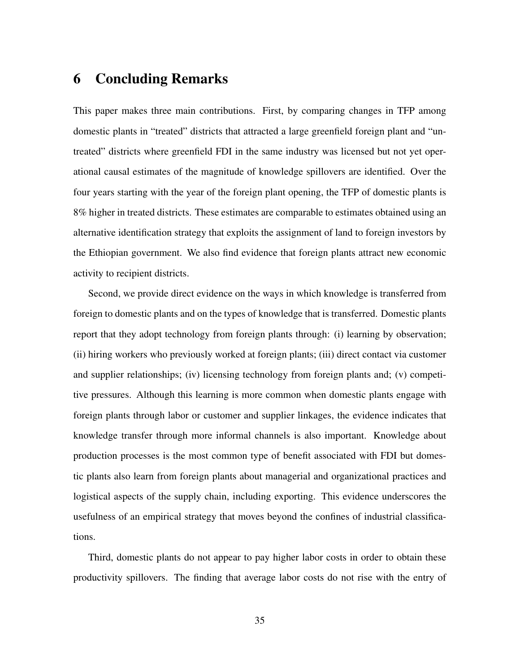## 6 Concluding Remarks

This paper makes three main contributions. First, by comparing changes in TFP among domestic plants in "treated" districts that attracted a large greenfield foreign plant and "untreated" districts where greenfield FDI in the same industry was licensed but not yet operational causal estimates of the magnitude of knowledge spillovers are identified. Over the four years starting with the year of the foreign plant opening, the TFP of domestic plants is 8% higher in treated districts. These estimates are comparable to estimates obtained using an alternative identification strategy that exploits the assignment of land to foreign investors by the Ethiopian government. We also find evidence that foreign plants attract new economic activity to recipient districts.

Second, we provide direct evidence on the ways in which knowledge is transferred from foreign to domestic plants and on the types of knowledge that is transferred. Domestic plants report that they adopt technology from foreign plants through: (i) learning by observation; (ii) hiring workers who previously worked at foreign plants; (iii) direct contact via customer and supplier relationships; (iv) licensing technology from foreign plants and; (v) competitive pressures. Although this learning is more common when domestic plants engage with foreign plants through labor or customer and supplier linkages, the evidence indicates that knowledge transfer through more informal channels is also important. Knowledge about production processes is the most common type of benefit associated with FDI but domestic plants also learn from foreign plants about managerial and organizational practices and logistical aspects of the supply chain, including exporting. This evidence underscores the usefulness of an empirical strategy that moves beyond the confines of industrial classifications.

Third, domestic plants do not appear to pay higher labor costs in order to obtain these productivity spillovers. The finding that average labor costs do not rise with the entry of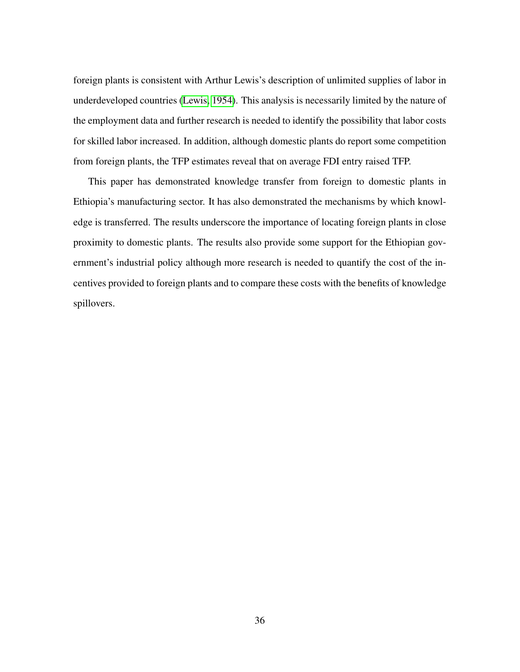foreign plants is consistent with Arthur Lewis's description of unlimited supplies of labor in underdeveloped countries [\(Lewis, 1954\)](#page-41-9). This analysis is necessarily limited by the nature of the employment data and further research is needed to identify the possibility that labor costs for skilled labor increased. In addition, although domestic plants do report some competition from foreign plants, the TFP estimates reveal that on average FDI entry raised TFP.

This paper has demonstrated knowledge transfer from foreign to domestic plants in Ethiopia's manufacturing sector. It has also demonstrated the mechanisms by which knowledge is transferred. The results underscore the importance of locating foreign plants in close proximity to domestic plants. The results also provide some support for the Ethiopian government's industrial policy although more research is needed to quantify the cost of the incentives provided to foreign plants and to compare these costs with the benefits of knowledge spillovers.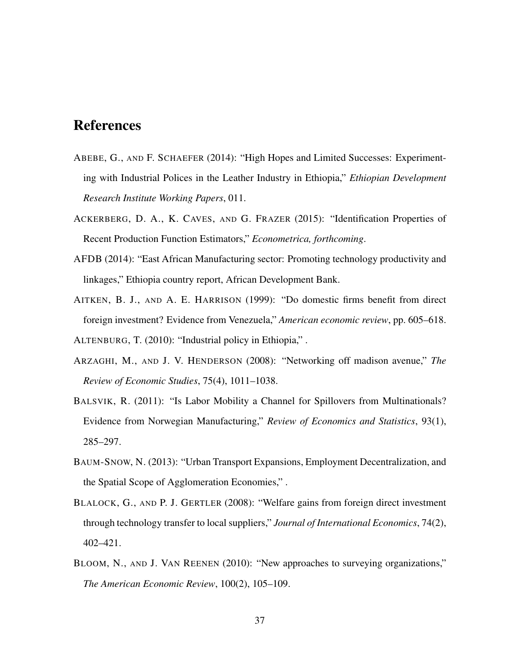## References

- <span id="page-38-6"></span>ABEBE, G., AND F. SCHAEFER (2014): "High Hopes and Limited Successes: Experimenting with Industrial Polices in the Leather Industry in Ethiopia," *Ethiopian Development Research Institute Working Papers*, 011.
- <span id="page-38-9"></span>ACKERBERG, D. A., K. CAVES, AND G. FRAZER (2015): "Identification Properties of Recent Production Function Estimators," *Econometrica, forthcoming*.
- <span id="page-38-7"></span>AFDB (2014): "East African Manufacturing sector: Promoting technology productivity and linkages," Ethiopia country report, African Development Bank.
- <span id="page-38-8"></span><span id="page-38-2"></span>AITKEN, B. J., AND A. E. HARRISON (1999): "Do domestic firms benefit from direct foreign investment? Evidence from Venezuela," *American economic review*, pp. 605–618. ALTENBURG, T. (2010): "Industrial policy in Ethiopia," .
- <span id="page-38-4"></span>ARZAGHI, M., AND J. V. HENDERSON (2008): "Networking off madison avenue," *The Review of Economic Studies*, 75(4), 1011–1038.
- <span id="page-38-0"></span>BALSVIK, R. (2011): "Is Labor Mobility a Channel for Spillovers from Multinationals? Evidence from Norwegian Manufacturing," *Review of Economics and Statistics*, 93(1), 285–297.
- <span id="page-38-5"></span>BAUM-SNOW, N. (2013): "Urban Transport Expansions, Employment Decentralization, and the Spatial Scope of Agglomeration Economies," .
- <span id="page-38-3"></span>BLALOCK, G., AND P. J. GERTLER (2008): "Welfare gains from foreign direct investment through technology transfer to local suppliers," *Journal of International Economics*, 74(2), 402–421.
- <span id="page-38-1"></span>BLOOM, N., AND J. VAN REENEN (2010): "New approaches to surveying organizations," *The American Economic Review*, 100(2), 105–109.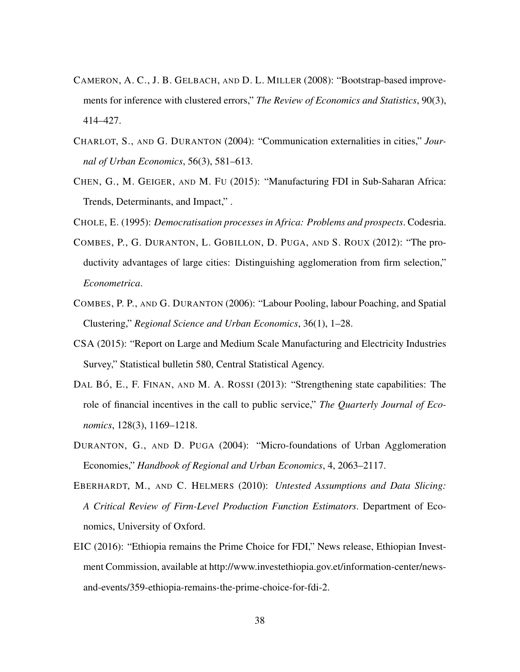- <span id="page-39-6"></span>CAMERON, A. C., J. B. GELBACH, AND D. L. MILLER (2008): "Bootstrap-based improvements for inference with clustered errors," *The Review of Economics and Statistics*, 90(3), 414–427.
- <span id="page-39-8"></span>CHARLOT, S., AND G. DURANTON (2004): "Communication externalities in cities," *Journal of Urban Economics*, 56(3), 581–613.
- <span id="page-39-5"></span>CHEN, G., M. GEIGER, AND M. FU (2015): "Manufacturing FDI in Sub-Saharan Africa: Trends, Determinants, and Impact," .
- <span id="page-39-2"></span><span id="page-39-1"></span>CHOLE, E. (1995): *Democratisation processes in Africa: Problems and prospects*. Codesria.
- COMBES, P., G. DURANTON, L. GOBILLON, D. PUGA, AND S. ROUX (2012): "The productivity advantages of large cities: Distinguishing agglomeration from firm selection," *Econometrica*.
- <span id="page-39-9"></span>COMBES, P. P., AND G. DURANTON (2006): "Labour Pooling, labour Poaching, and Spatial Clustering," *Regional Science and Urban Economics*, 36(1), 1–28.
- <span id="page-39-4"></span>CSA (2015): "Report on Large and Medium Scale Manufacturing and Electricity Industries Survey," Statistical bulletin 580, Central Statistical Agency.
- <span id="page-39-10"></span>DAL BÓ, E., F. FINAN, AND M. A. ROSSI (2013): "Strengthening state capabilities: The role of financial incentives in the call to public service," *The Quarterly Journal of Economics*, 128(3), 1169–1218.
- <span id="page-39-0"></span>DURANTON, G., AND D. PUGA (2004): "Micro-foundations of Urban Agglomeration Economies," *Handbook of Regional and Urban Economics*, 4, 2063–2117.
- <span id="page-39-7"></span>EBERHARDT, M., AND C. HELMERS (2010): *Untested Assumptions and Data Slicing: A Critical Review of Firm-Level Production Function Estimators*. Department of Economics, University of Oxford.
- <span id="page-39-3"></span>EIC (2016): "Ethiopia remains the Prime Choice for FDI," News release, Ethiopian Investment Commission, available at http://www.investethiopia.gov.et/information-center/newsand-events/359-ethiopia-remains-the-prime-choice-for-fdi-2.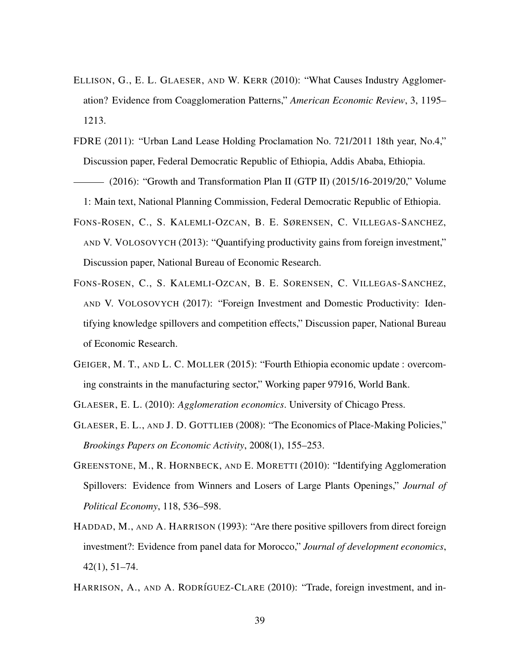- <span id="page-40-6"></span>ELLISON, G., E. L. GLAESER, AND W. KERR (2010): "What Causes Industry Agglomeration? Evidence from Coagglomeration Patterns," *American Economic Review*, 3, 1195– 1213.
- <span id="page-40-8"></span>FDRE (2011): "Urban Land Lease Holding Proclamation No. 721/2011 18th year, No.4," Discussion paper, Federal Democratic Republic of Ethiopia, Addis Ababa, Ethiopia.
- <span id="page-40-9"></span>(2016): "Growth and Transformation Plan II (GTP II) (2015/16-2019/20," Volume 1: Main text, National Planning Commission, Federal Democratic Republic of Ethiopia.
- <span id="page-40-4"></span>FONS-ROSEN, C., S. KALEMLI-OZCAN, B. E. SØRENSEN, C. VILLEGAS-SANCHEZ, AND V. VOLOSOVYCH (2013): "Quantifying productivity gains from foreign investment," Discussion paper, National Bureau of Economic Research.
- <span id="page-40-5"></span>FONS-ROSEN, C., S. KALEMLI-OZCAN, B. E. SORENSEN, C. VILLEGAS-SANCHEZ, AND V. VOLOSOVYCH (2017): "Foreign Investment and Domestic Productivity: Identifying knowledge spillovers and competition effects," Discussion paper, National Bureau of Economic Research.
- <span id="page-40-10"></span>GEIGER, M. T., AND L. C. MOLLER (2015): "Fourth Ethiopia economic update : overcoming constraints in the manufacturing sector," Working paper 97916, World Bank.
- <span id="page-40-7"></span><span id="page-40-2"></span>GLAESER, E. L. (2010): *Agglomeration economics*. University of Chicago Press.
- GLAESER, E. L., AND J. D. GOTTLIEB (2008): "The Economics of Place-Making Policies," *Brookings Papers on Economic Activity*, 2008(1), 155–253.
- <span id="page-40-1"></span>GREENSTONE, M., R. HORNBECK, AND E. MORETTI (2010): "Identifying Agglomeration Spillovers: Evidence from Winners and Losers of Large Plants Openings," *Journal of Political Economy*, 118, 536–598.
- <span id="page-40-3"></span>HADDAD, M., AND A. HARRISON (1993): "Are there positive spillovers from direct foreign investment?: Evidence from panel data for Morocco," *Journal of development economics*, 42(1), 51–74.
- <span id="page-40-0"></span>HARRISON, A., AND A. RODRÍGUEZ-CLARE (2010): "Trade, foreign investment, and in-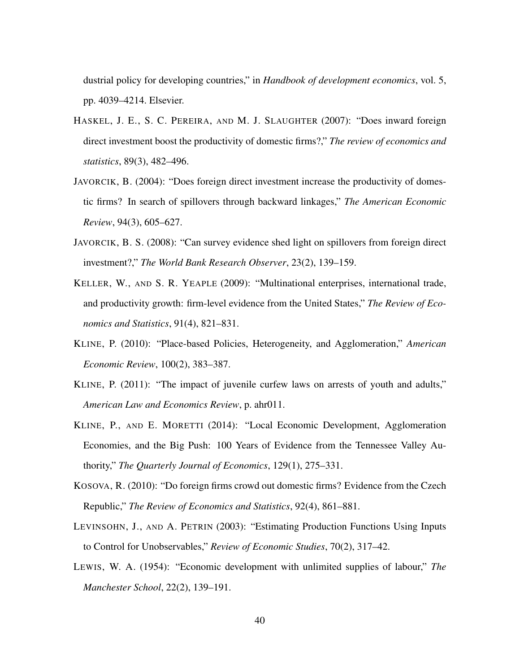dustrial policy for developing countries," in *Handbook of development economics*, vol. 5, pp. 4039–4214. Elsevier.

- <span id="page-41-3"></span>HASKEL, J. E., S. C. PEREIRA, AND M. J. SLAUGHTER (2007): "Does inward foreign direct investment boost the productivity of domestic firms?," *The review of economics and statistics*, 89(3), 482–496.
- <span id="page-41-2"></span>JAVORCIK, B. (2004): "Does foreign direct investment increase the productivity of domestic firms? In search of spillovers through backward linkages," *The American Economic Review*, 94(3), 605–627.
- <span id="page-41-6"></span>JAVORCIK, B. S. (2008): "Can survey evidence shed light on spillovers from foreign direct investment?," *The World Bank Research Observer*, 23(2), 139–159.
- <span id="page-41-4"></span>KELLER, W., AND S. R. YEAPLE (2009): "Multinational enterprises, international trade, and productivity growth: firm-level evidence from the United States," *The Review of Economics and Statistics*, 91(4), 821–831.
- <span id="page-41-0"></span>KLINE, P. (2010): "Place-based Policies, Heterogeneity, and Agglomeration," *American Economic Review*, 100(2), 383–387.
- <span id="page-41-7"></span>KLINE, P. (2011): "The impact of juvenile curfew laws on arrests of youth and adults," *American Law and Economics Review*, p. ahr011.
- <span id="page-41-1"></span>KLINE, P., AND E. MORETTI (2014): "Local Economic Development, Agglomeration Economies, and the Big Push: 100 Years of Evidence from the Tennessee Valley Authority," *The Quarterly Journal of Economics*, 129(1), 275–331.
- <span id="page-41-5"></span>KOSOVA, R. (2010): "Do foreign firms crowd out domestic firms? Evidence from the Czech Republic," *The Review of Economics and Statistics*, 92(4), 861–881.
- <span id="page-41-8"></span>LEVINSOHN, J., AND A. PETRIN (2003): "Estimating Production Functions Using Inputs to Control for Unobservables," *Review of Economic Studies*, 70(2), 317–42.
- <span id="page-41-9"></span>LEWIS, W. A. (1954): "Economic development with unlimited supplies of labour," *The Manchester School*, 22(2), 139–191.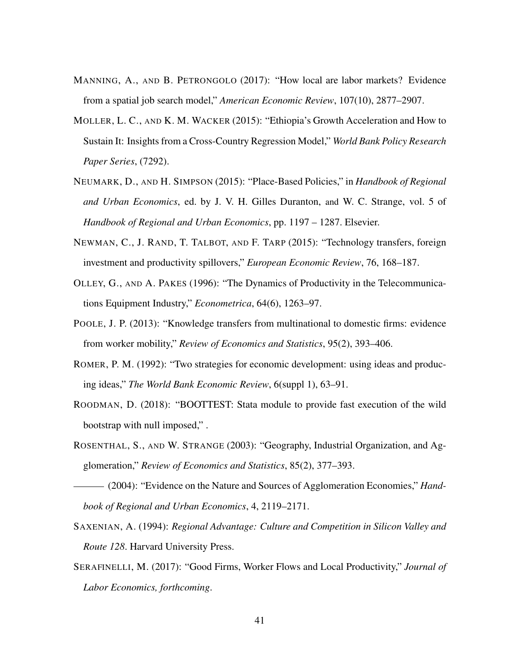- <span id="page-42-9"></span>MANNING, A., AND B. PETRONGOLO (2017): "How local are labor markets? Evidence from a spatial job search model," *American Economic Review*, 107(10), 2877–2907.
- <span id="page-42-6"></span>MOLLER, L. C., AND K. M. WACKER (2015): "Ethiopia's Growth Acceleration and How to Sustain It: Insights from a Cross-Country Regression Model," *World Bank Policy Research Paper Series*, (7292).
- <span id="page-42-3"></span>NEUMARK, D., AND H. SIMPSON (2015): "Place-Based Policies," in *Handbook of Regional and Urban Economics*, ed. by J. V. H. Gilles Duranton, and W. C. Strange, vol. 5 of *Handbook of Regional and Urban Economics*, pp. 1197 – 1287. Elsevier.
- <span id="page-42-2"></span>NEWMAN, C., J. RAND, T. TALBOT, AND F. TARP (2015): "Technology transfers, foreign investment and productivity spillovers," *European Economic Review*, 76, 168–187.
- <span id="page-42-8"></span>OLLEY, G., AND A. PAKES (1996): "The Dynamics of Productivity in the Telecommunications Equipment Industry," *Econometrica*, 64(6), 1263–97.
- <span id="page-42-1"></span>POOLE, J. P. (2013): "Knowledge transfers from multinational to domestic firms: evidence from worker mobility," *Review of Economics and Statistics*, 95(2), 393–406.
- <span id="page-42-0"></span>ROMER, P. M. (1992): "Two strategies for economic development: using ideas and producing ideas," *The World Bank Economic Review*, 6(suppl 1), 63–91.
- <span id="page-42-7"></span>ROODMAN, D. (2018): "BOOTTEST: Stata module to provide fast execution of the wild bootstrap with null imposed," .
- <span id="page-42-4"></span>ROSENTHAL, S., AND W. STRANGE (2003): "Geography, Industrial Organization, and Agglomeration," *Review of Economics and Statistics*, 85(2), 377–393.

<span id="page-42-5"></span>(2004): "Evidence on the Nature and Sources of Agglomeration Economies," *Handbook of Regional and Urban Economics*, 4, 2119–2171.

- <span id="page-42-11"></span>SAXENIAN, A. (1994): *Regional Advantage: Culture and Competition in Silicon Valley and Route 128*. Harvard University Press.
- <span id="page-42-10"></span>SERAFINELLI, M. (2017): "Good Firms, Worker Flows and Local Productivity," *Journal of Labor Economics, forthcoming*.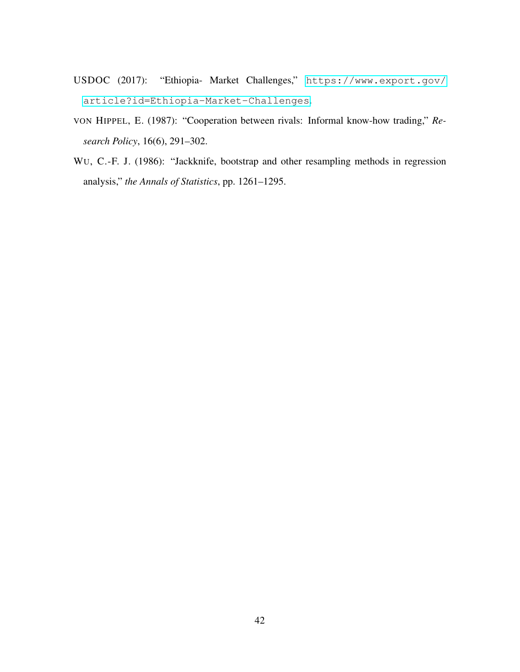- <span id="page-43-0"></span>USDOC (2017): "Ethiopia- Market Challenges," [https://www.export.gov/](https://www.export.gov/article?id=Ethiopia-Market-Challenges) [article?id=Ethiopia-Market-Challenges](https://www.export.gov/article?id=Ethiopia-Market-Challenges).
- <span id="page-43-2"></span>VON HIPPEL, E. (1987): "Cooperation between rivals: Informal know-how trading," *Research Policy*, 16(6), 291–302.
- <span id="page-43-1"></span>WU, C.-F. J. (1986): "Jackknife, bootstrap and other resampling methods in regression analysis," *the Annals of Statistics*, pp. 1261–1295.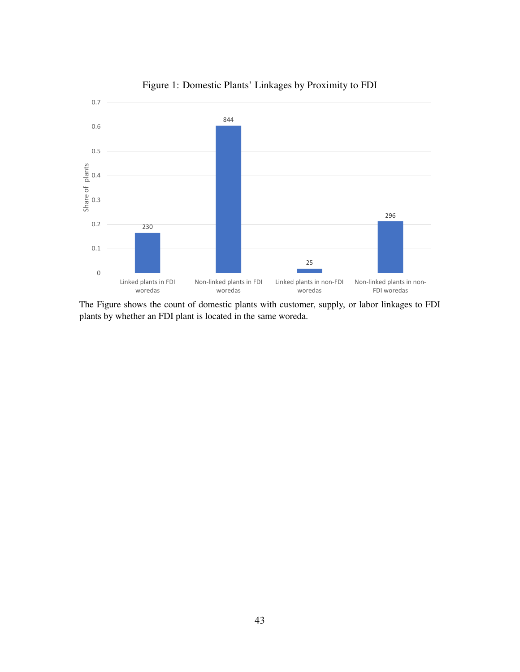

<span id="page-44-0"></span>Figure 1: Domestic Plants' Linkages by Proximity to FDI

The Figure shows the count of domestic plants with customer, supply, or labor linkages to FDI plants by whether an FDI plant is located in the same woreda.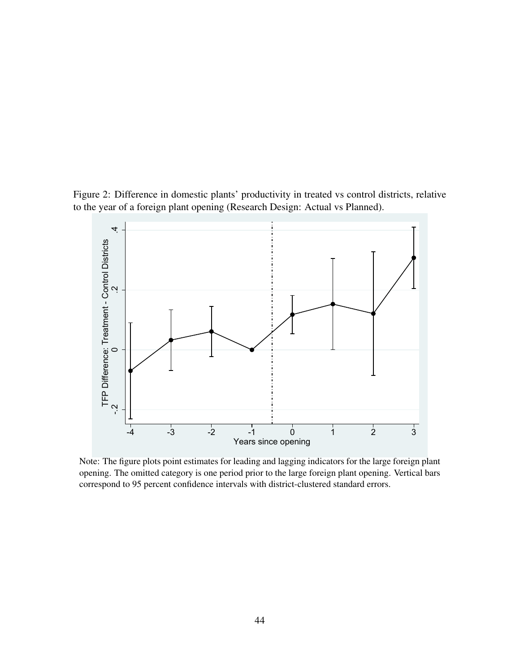Figure 2: Difference in domestic plants' productivity in treated vs control districts, relative to the year of a foreign plant opening (Research Design: Actual vs Planned).

<span id="page-45-0"></span>

Note: The figure plots point estimates for leading and lagging indicators for the large foreign plant opening. The omitted category is one period prior to the large foreign plant opening. Vertical bars correspond to 95 percent confidence intervals with district-clustered standard errors.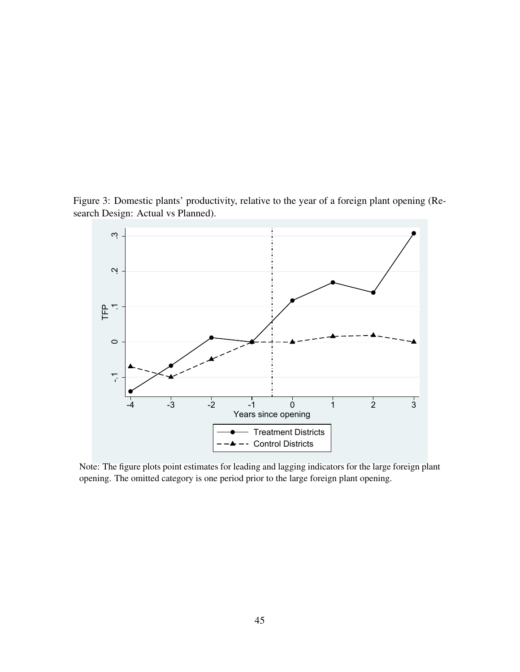Figure 3: Domestic plants' productivity, relative to the year of a foreign plant opening (Research Design: Actual vs Planned).

<span id="page-46-0"></span>

Note: The figure plots point estimates for leading and lagging indicators for the large foreign plant opening. The omitted category is one period prior to the large foreign plant opening.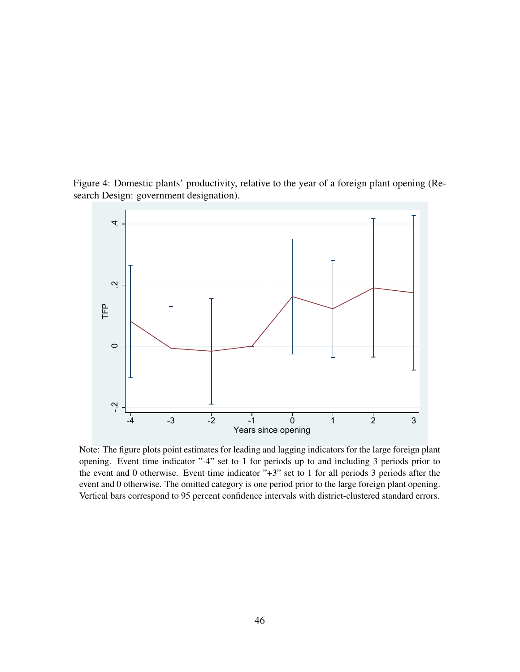Figure 4: Domestic plants' productivity, relative to the year of a foreign plant opening (Research Design: government designation).

<span id="page-47-0"></span>

Note: The figure plots point estimates for leading and lagging indicators for the large foreign plant opening. Event time indicator "-4" set to 1 for periods up to and including 3 periods prior to the event and 0 otherwise. Event time indicator "+3" set to 1 for all periods 3 periods after the event and 0 otherwise. The omitted category is one period prior to the large foreign plant opening. Vertical bars correspond to 95 percent confidence intervals with district-clustered standard errors.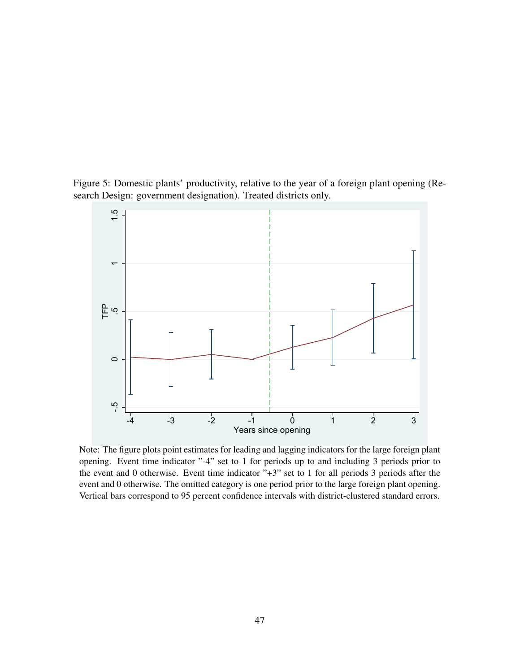

<span id="page-48-0"></span>

Note: The figure plots point estimates for leading and lagging indicators for the large foreign plant opening. Event time indicator "-4" set to 1 for periods up to and including 3 periods prior to the event and 0 otherwise. Event time indicator "+3" set to 1 for all periods 3 periods after the event and 0 otherwise. The omitted category is one period prior to the large foreign plant opening. Vertical bars correspond to 95 percent confidence intervals with district-clustered standard errors.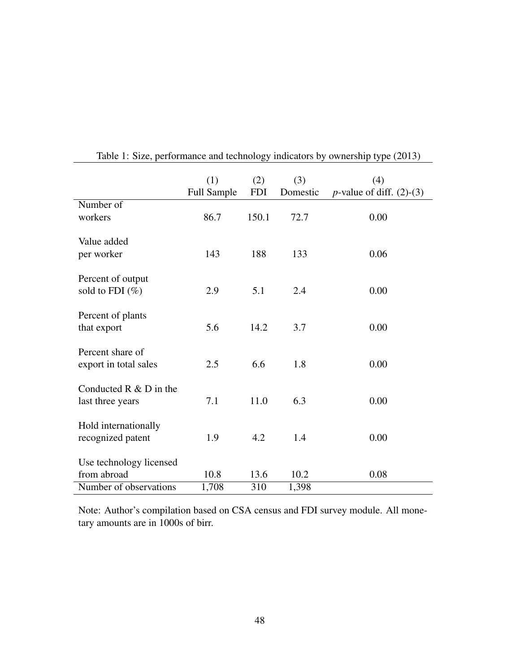|                                               | (1)<br><b>Full Sample</b> | (2)<br><b>FDI</b> | (3)<br>Domestic | (4)<br><i>p</i> -value of diff. $(2)-(3)$ |
|-----------------------------------------------|---------------------------|-------------------|-----------------|-------------------------------------------|
| Number of                                     |                           |                   |                 |                                           |
| workers                                       | 86.7                      | 150.1             | 72.7            | 0.00                                      |
| Value added<br>per worker                     | 143                       | 188               | 133             | 0.06                                      |
| Percent of output<br>sold to FDI $(\%)$       | 2.9                       | 5.1               | 2.4             | 0.00                                      |
| Percent of plants<br>that export              | 5.6                       | 14.2              | 3.7             | 0.00                                      |
| Percent share of<br>export in total sales     | 2.5                       | 6.6               | 1.8             | 0.00                                      |
| Conducted $R \& D$ in the<br>last three years | 7.1                       | 11.0              | 6.3             | 0.00                                      |
| Hold internationally<br>recognized patent     | 1.9                       | 4.2               | 1.4             | 0.00                                      |
| Use technology licensed                       |                           |                   |                 |                                           |
| from abroad                                   | 10.8                      | 13.6              | 10.2            | 0.08                                      |
| Number of observations                        | 1,708                     | 310               | 1,398           |                                           |

<span id="page-49-0"></span>Table 1: Size, performance and technology indicators by ownership type (2013)

Note: Author's compilation based on CSA census and FDI survey module. All monetary amounts are in 1000s of birr.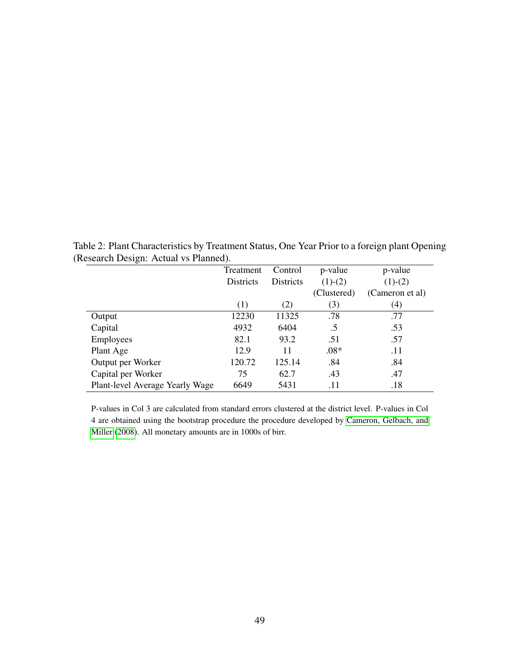<span id="page-50-0"></span>

| ັ                               | Treatment        | Control   | p-value     | p-value         |
|---------------------------------|------------------|-----------|-------------|-----------------|
|                                 | <b>Districts</b> | Districts | $(1)-(2)$   | $(1)-(2)$       |
|                                 |                  |           | (Clustered) | (Cameron et al) |
|                                 | (1)              | (2)       | (3)         | (4)             |
| Output                          | 12230            | 11325     | .78         | .77             |
| Capital                         | 4932             | 6404      | $.5\,$      | .53             |
| <b>Employees</b>                | 82.1             | 93.2      | .51         | .57             |
| Plant Age                       | 12.9             | 11        | $.08*$      | .11             |
| Output per Worker               | 120.72           | 125.14    | .84         | .84             |
| Capital per Worker              | 75               | 62.7      | .43         | .47             |
| Plant-level Average Yearly Wage | 6649             | 5431      | .11         | .18             |

Table 2: Plant Characteristics by Treatment Status, One Year Prior to a foreign plant Opening (Research Design: Actual vs Planned).

P-values in Col 3 are calculated from standard errors clustered at the district level. P-values in Col 4 are obtained using the bootstrap procedure the procedure developed by [Cameron, Gelbach, and](#page-39-6) [Miller](#page-39-6) [\(2008\)](#page-39-6). All monetary amounts are in 1000s of birr.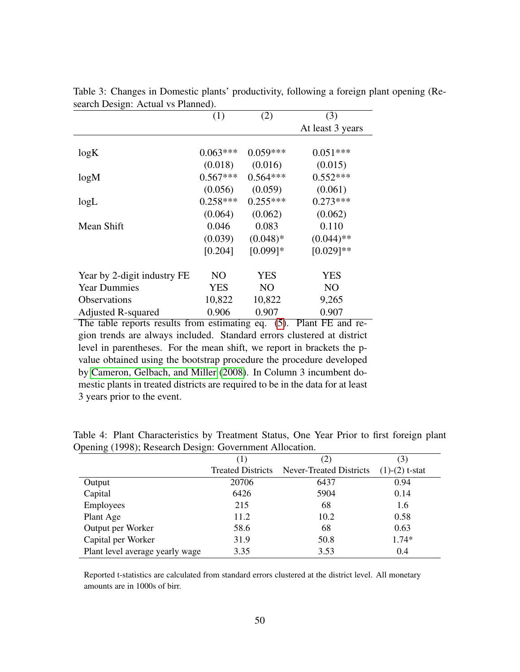|                             | (1)        | (2)            | (3)              |
|-----------------------------|------------|----------------|------------------|
|                             |            |                | At least 3 years |
|                             |            |                |                  |
| log K                       | $0.063***$ | $0.059***$     | $0.051***$       |
|                             | (0.018)    | (0.016)        | (0.015)          |
| log M                       | $0.567***$ | $0.564***$     | $0.552***$       |
|                             | (0.056)    | (0.059)        | (0.061)          |
| logL                        | $0.258***$ | $0.255***$     | $0.273***$       |
|                             | (0.064)    | (0.062)        | (0.062)          |
| Mean Shift                  | 0.046      | 0.083          | 0.110            |
|                             | (0.039)    | $(0.048)*$     | $(0.044)$ **     |
|                             | [0.204]    | $[0.099]$ *    | $[0.029]$ **     |
| Year by 2-digit industry FE | NO         | YES            | <b>YES</b>       |
| <b>Year Dummies</b>         | <b>YES</b> | N <sub>O</sub> | N <sub>O</sub>   |
| <b>Observations</b>         | 10,822     | 10,822         | 9,265            |
| Adjusted R-squared          | 0.906      | 0.907          | 0.907            |

<span id="page-51-0"></span>Table 3: Changes in Domestic plants' productivity, following a foreign plant opening (Research Design: Actual vs Planned).

The table reports results from estimating eq. [\(5\)](#page-20-0). Plant FE and region trends are always included. Standard errors clustered at district level in parentheses. For the mean shift, we report in brackets the pvalue obtained using the bootstrap procedure the procedure developed by [Cameron, Gelbach, and Miller](#page-39-6) [\(2008\)](#page-39-6). In Column 3 incumbent domestic plants in treated districts are required to be in the data for at least 3 years prior to the event.

|                                 |                          |                                | (3)              |
|---------------------------------|--------------------------|--------------------------------|------------------|
|                                 | <b>Treated Districts</b> | <b>Never-Treated Districts</b> | $(1)-(2)$ t-stat |
| Output                          | 20706                    | 6437                           | 0.94             |
| Capital                         | 6426                     | 5904                           | 0.14             |
| Employees                       | 215                      | 68                             | 1.6              |
| Plant Age                       | 11.2                     | 10.2                           | 0.58             |
| Output per Worker               | 58.6                     | 68                             | 0.63             |
| Capital per Worker              | 31.9                     | 50.8                           | $1.74*$          |
| Plant level average yearly wage | 3.35                     | 3.53                           | 0.4              |

<span id="page-51-1"></span>Table 4: Plant Characteristics by Treatment Status, One Year Prior to first foreign plant Opening (1998); Research Design: Government Allocation.

Reported t-statistics are calculated from standard errors clustered at the district level. All monetary amounts are in 1000s of birr.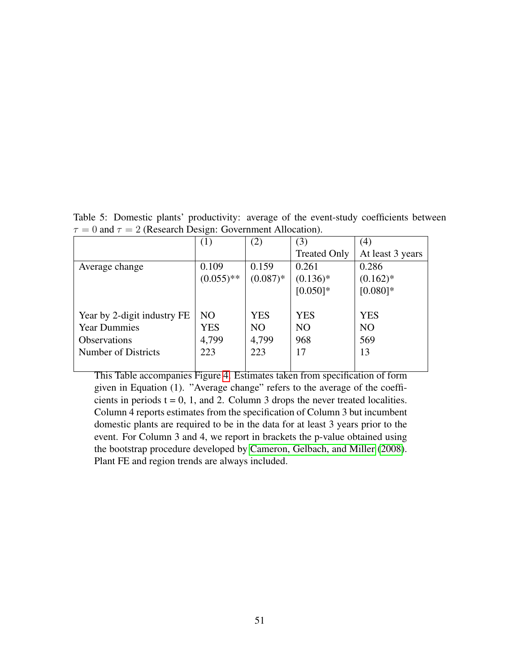|                             | (1)            | (2)            | (3)                 | (4)              |
|-----------------------------|----------------|----------------|---------------------|------------------|
|                             |                |                | <b>Treated Only</b> | At least 3 years |
| Average change              | 0.109          | 0.159          | 0.261               | 0.286            |
|                             | $(0.055)$ **   | $(0.087)$ *    | $(0.136)^*$         | $(0.162)$ *      |
|                             |                |                | $[0.050]$ *         | $[0.080]$ *      |
|                             |                |                |                     |                  |
| Year by 2-digit industry FE | N <sub>O</sub> | <b>YES</b>     | <b>YES</b>          | <b>YES</b>       |
| <b>Year Dummies</b>         | YES            | N <sub>O</sub> | N <sub>O</sub>      | N <sub>O</sub>   |
| <b>Observations</b>         | 4,799          | 4,799          | 968                 | 569              |
| Number of Districts         | 223            | 223            | 17                  | 13               |
|                             |                |                |                     |                  |

<span id="page-52-0"></span>Table 5: Domestic plants' productivity: average of the event-study coefficients between  $\tau = 0$  and  $\tau = 2$  (Research Design: Government Allocation).

This Table accompanies Figure [4.](#page-47-0) Estimates taken from specification of form given in Equation (1). "Average change" refers to the average of the coefficients in periods  $t = 0, 1$ , and 2. Column 3 drops the never treated localities. Column 4 reports estimates from the specification of Column 3 but incumbent domestic plants are required to be in the data for at least 3 years prior to the event. For Column 3 and 4, we report in brackets the p-value obtained using the bootstrap procedure developed by [Cameron, Gelbach, and Miller](#page-39-6) [\(2008\)](#page-39-6). Plant FE and region trends are always included.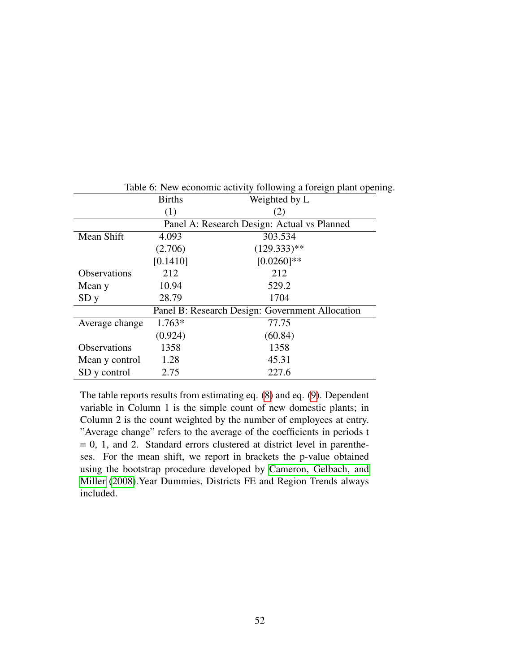|                     | <b>Births</b>                               | Weighted by L                                   |  |  |  |  |
|---------------------|---------------------------------------------|-------------------------------------------------|--|--|--|--|
|                     | (1)                                         | (2)                                             |  |  |  |  |
|                     | Panel A: Research Design: Actual vs Planned |                                                 |  |  |  |  |
| Mean Shift          | 4.093                                       | 303.534                                         |  |  |  |  |
|                     | (2.706)                                     | $(129.333)**$                                   |  |  |  |  |
|                     | [0.1410]                                    | $[0.0260]$ **                                   |  |  |  |  |
| <b>Observations</b> | 212                                         | 212                                             |  |  |  |  |
| Mean y              | 10.94                                       | 529.2                                           |  |  |  |  |
| SDy                 | 28.79                                       | 1704                                            |  |  |  |  |
|                     |                                             | Panel B: Research Design: Government Allocation |  |  |  |  |
| Average change      | $1.763*$                                    | 77.75                                           |  |  |  |  |
|                     | (0.924)                                     | (60.84)                                         |  |  |  |  |
| <b>Observations</b> | 1358                                        | 1358                                            |  |  |  |  |
| Mean y control      | 1.28                                        | 45.31                                           |  |  |  |  |
| SD y control        | 2.75                                        | 227.6                                           |  |  |  |  |

<span id="page-53-0"></span>Table 6: New economic activity following a foreign plant opening.

The table reports results from estimating eq. [\(8\)](#page-31-0) and eq. [\(9\)](#page-31-1). Dependent variable in Column 1 is the simple count of new domestic plants; in Column 2 is the count weighted by the number of employees at entry. "Average change" refers to the average of the coefficients in periods t  $= 0$ , 1, and 2. Standard errors clustered at district level in parentheses. For the mean shift, we report in brackets the p-value obtained using the bootstrap procedure developed by [Cameron, Gelbach, and](#page-39-6) [Miller](#page-39-6) [\(2008\)](#page-39-6).Year Dummies, Districts FE and Region Trends always included.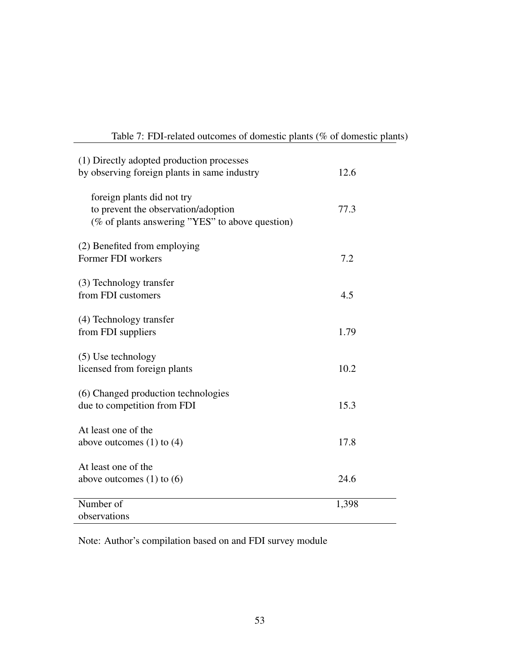<span id="page-54-0"></span>

| Table 7: FDI-related outcomes of domestic plants (% of domestic plants) |  |  |  |
|-------------------------------------------------------------------------|--|--|--|
|-------------------------------------------------------------------------|--|--|--|

| (1) Directly adopted production processes            |       |
|------------------------------------------------------|-------|
| by observing foreign plants in same industry         | 12.6  |
| foreign plants did not try                           |       |
| to prevent the observation/adoption                  | 77.3  |
| (% of plants answering "YES" to above question)      |       |
| (2) Benefited from employing                         |       |
| Former FDI workers                                   | 7.2   |
| (3) Technology transfer                              |       |
| from FDI customers                                   | 4.5   |
| (4) Technology transfer                              |       |
| from FDI suppliers                                   | 1.79  |
|                                                      |       |
| $(5)$ Use technology<br>licensed from foreign plants | 10.2  |
|                                                      |       |
| (6) Changed production technologies                  |       |
| due to competition from FDI                          | 15.3  |
| At least one of the                                  |       |
| above outcomes $(1)$ to $(4)$                        | 17.8  |
| At least one of the                                  |       |
| above outcomes $(1)$ to $(6)$                        | 24.6  |
| Number of                                            | 1,398 |
| observations                                         |       |

Note: Author's compilation based on and FDI survey module

L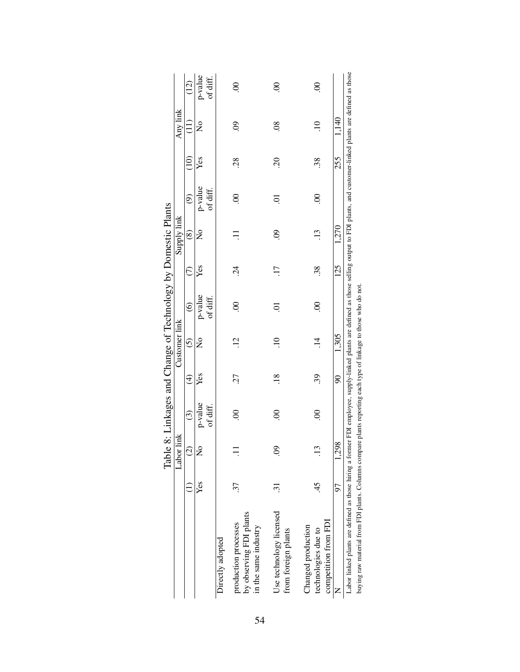<span id="page-55-0"></span>

|                                                                                                                                                                                                |     |                      | Table 8: Linkages and Change of Technology by Domestic Plants |                |                      |                        |            |                               |                     |                 |                      |                     |
|------------------------------------------------------------------------------------------------------------------------------------------------------------------------------------------------|-----|----------------------|---------------------------------------------------------------|----------------|----------------------|------------------------|------------|-------------------------------|---------------------|-----------------|----------------------|---------------------|
|                                                                                                                                                                                                |     | Labor link           |                                                               |                | Customer link        |                        |            | Supply link                   |                     |                 | Any link             |                     |
|                                                                                                                                                                                                |     | $\odot$              | $\odot$                                                       | $\widehat{E}$  | $\tilde{c}$          | $\widehat{\mathbf{e}}$ |            | $\circledS$                   | $\ddot{\circ}$      | $\widehat{\Xi}$ | $\widehat{\Xi}$      | (12)                |
|                                                                                                                                                                                                | Yes | $\tilde{\mathsf{z}}$ | p-value<br>of diff.                                           | Yes            | $\tilde{\mathsf{z}}$ | p-value<br>of diff.    | Yes        | $\overset{\circ}{\mathsf{z}}$ | p-value<br>of diff. | Yes             | $\mathsf{z}^{\circ}$ | p-value<br>of diff. |
| Directly adopted                                                                                                                                                                               |     |                      |                                                               |                |                      |                        |            |                               |                     |                 |                      |                     |
| by observing FDI plants<br>production processes<br>in the same industry                                                                                                                        | 37  |                      | S                                                             | 27             | $\ddot{5}$           | $\odot$                | $\ddot{c}$ |                               | $\odot$             | .28             | S.                   | $\odot$             |
| Use technology licensed<br>from foreign plants                                                                                                                                                 |     | S.                   | S                                                             | $\frac{8}{18}$ |                      | ā                      |            | S.                            | ā                   | $\overline{5}$  | $\overline{0}$       | $\mathcal{S}$       |
| competition from FDI<br>Changed production<br>technologies due to                                                                                                                              | 45  | S                    | $\mathcal{S}$                                                 | 39             | $\vec{a}$            | $\odot$                | 38.        | $\ddot{13}$                   | $\odot$             | 38              |                      | $\overline{0}$      |
|                                                                                                                                                                                                | 50  | 1.298                |                                                               | $\infty$       | 1,305                |                        | 125        | 1,270                         |                     | 255             | 1,140                |                     |
| Labor linked plants are defined as those hiring a former FDI employee, supply-linked plants are defined as those selling output to FDI plants, and customer-linked plants are defined as those |     |                      |                                                               |                |                      |                        |            |                               |                     |                 |                      |                     |
| buying raw material from FDI plants. Columns compare plants reporting each type of linkage to those who do not.                                                                                |     |                      |                                                               |                |                      |                        |            |                               |                     |                 |                      |                     |

54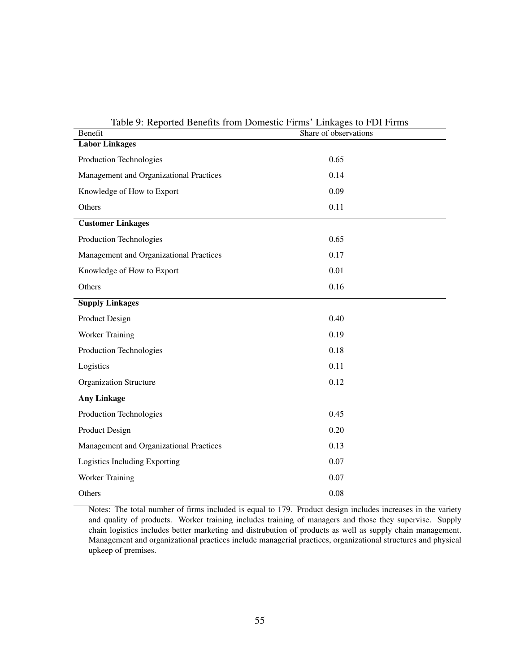| Table 9: Reported Benefits from Domestic Firms Linkages to FDI Firms |                       |
|----------------------------------------------------------------------|-----------------------|
| Benefit                                                              | Share of observations |
| <b>Labor Linkages</b>                                                |                       |
| Production Technologies                                              | 0.65                  |
| Management and Organizational Practices                              | 0.14                  |
| Knowledge of How to Export                                           | 0.09                  |
| Others                                                               | 0.11                  |
| <b>Customer Linkages</b>                                             |                       |
| Production Technologies                                              | 0.65                  |
| Management and Organizational Practices                              | 0.17                  |
| Knowledge of How to Export                                           | 0.01                  |
| Others                                                               | 0.16                  |
| <b>Supply Linkages</b>                                               |                       |
| Product Design                                                       | 0.40                  |
| Worker Training                                                      | 0.19                  |
| Production Technologies                                              | 0.18                  |
| Logistics                                                            | 0.11                  |
| <b>Organization Structure</b>                                        | 0.12                  |
| <b>Any Linkage</b>                                                   |                       |
| Production Technologies                                              | 0.45                  |
| Product Design                                                       | 0.20                  |
| Management and Organizational Practices                              | 0.13                  |
| Logistics Including Exporting                                        | 0.07                  |
| Worker Training                                                      | 0.07                  |
| Others                                                               | 0.08                  |

Table 9: Reported Benefits from Domestic Firms' Linkages to FDI Firms

Notes: The total number of firms included is equal to 179. Product design includes increases in the variety and quality of products. Worker training includes training of managers and those they supervise. Supply chain logistics includes better marketing and distrubution of products as well as supply chain management. Management and organizational practices include managerial practices, organizational structures and physical upkeep of premises.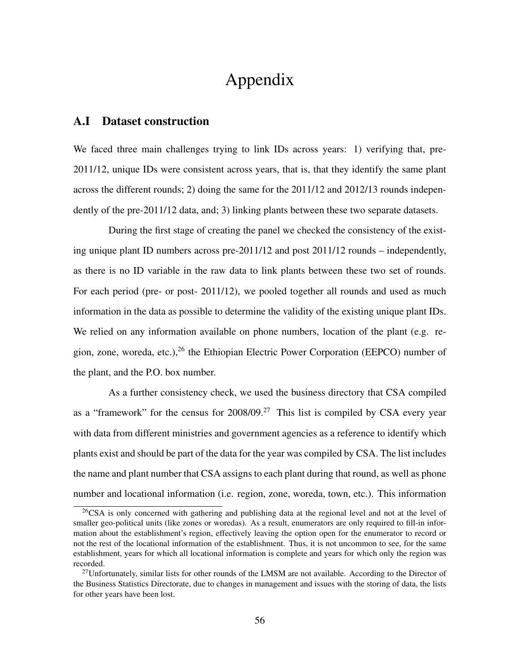## Appendix

#### <span id="page-57-0"></span>A.I Dataset construction

We faced three main challenges trying to link IDs across years: 1) verifying that, pre-2011/12, unique IDs were consistent across years, that is, that they identify the same plant across the different rounds; 2) doing the same for the 2011/12 and 2012/13 rounds independently of the pre-2011/12 data, and; 3) linking plants between these two separate datasets.

During the first stage of creating the panel we checked the consistency of the existing unique plant ID numbers across pre-2011/12 and post 2011/12 rounds – independently, as there is no ID variable in the raw data to link plants between these two set of rounds. For each period (pre- or post- 2011/12), we pooled together all rounds and used as much information in the data as possible to determine the validity of the existing unique plant IDs. We relied on any information available on phone numbers, location of the plant (e.g. region, zone, woreda, etc.), $^{26}$  the Ethiopian Electric Power Corporation (EEPCO) number of the plant, and the P.O. box number.

As a further consistency check, we used the business directory that CSA compiled as a "framework" for the census for 2008/09.<sup>27</sup> This list is compiled by CSA every year with data from different ministries and government agencies as a reference to identify which plants exist and should be part of the data for the year was compiled by CSA. The list includes the name and plant number that CSA assigns to each plant during that round, as well as phone number and locational information (i.e. region, zone, woreda, town, etc.). This information

 $26$ CSA is only concerned with gathering and publishing data at the regional level and not at the level of smaller geo-political units (like zones or woredas). As a result, enumerators are only required to fill-in information about the establishment's region, effectively leaving the option open for the enumerator to record or not the rest of the locational information of the establishment. Thus, it is not uncommon to see, for the same establishment, years for which all locational information is complete and years for which only the region was recorded.

<sup>&</sup>lt;sup>27</sup>Unfortunately, similar lists for other rounds of the LMSM are not available. According to the Director of the Business Statistics Directorate, due to changes in management and issues with the storing of data, the lists for other years have been lost.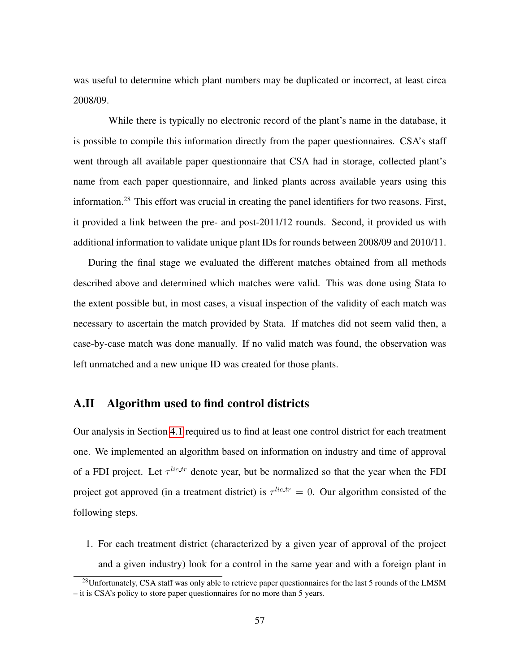was useful to determine which plant numbers may be duplicated or incorrect, at least circa 2008/09.

While there is typically no electronic record of the plant's name in the database, it is possible to compile this information directly from the paper questionnaires. CSA's staff went through all available paper questionnaire that CSA had in storage, collected plant's name from each paper questionnaire, and linked plants across available years using this information.<sup>28</sup> This effort was crucial in creating the panel identifiers for two reasons. First, it provided a link between the pre- and post-2011/12 rounds. Second, it provided us with additional information to validate unique plant IDs for rounds between 2008/09 and 2010/11.

During the final stage we evaluated the different matches obtained from all methods described above and determined which matches were valid. This was done using Stata to the extent possible but, in most cases, a visual inspection of the validity of each match was necessary to ascertain the match provided by Stata. If matches did not seem valid then, a case-by-case match was done manually. If no valid match was found, the observation was left unmatched and a new unique ID was created for those plants.

#### <span id="page-58-0"></span>A.II Algorithm used to find control districts

Our analysis in Section [4.1](#page-19-0) required us to find at least one control district for each treatment one. We implemented an algorithm based on information on industry and time of approval of a FDI project. Let  $\tau^{lic.tr}$  denote year, but be normalized so that the year when the FDI project got approved (in a treatment district) is  $\tau^{lic.tr} = 0$ . Our algorithm consisted of the following steps.

1. For each treatment district (characterized by a given year of approval of the project and a given industry) look for a control in the same year and with a foreign plant in

<sup>&</sup>lt;sup>28</sup>Unfortunately, CSA staff was only able to retrieve paper questionnaires for the last 5 rounds of the LMSM – it is CSA's policy to store paper questionnaires for no more than 5 years.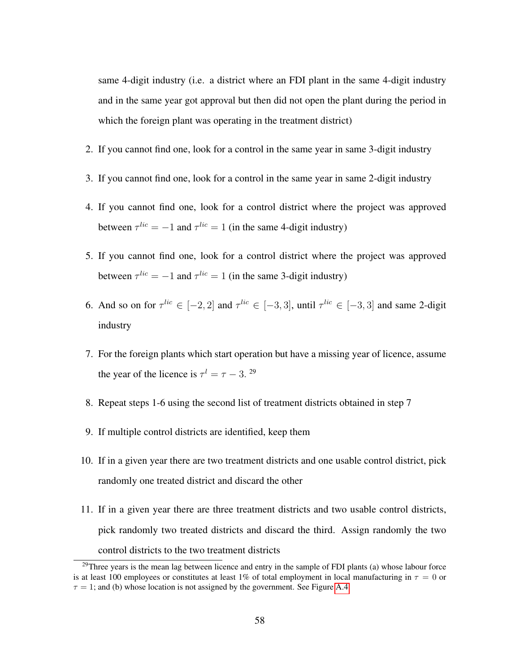same 4-digit industry (i.e. a district where an FDI plant in the same 4-digit industry and in the same year got approval but then did not open the plant during the period in which the foreign plant was operating in the treatment district)

- 2. If you cannot find one, look for a control in the same year in same 3-digit industry
- 3. If you cannot find one, look for a control in the same year in same 2-digit industry
- 4. If you cannot find one, look for a control district where the project was approved between  $\tau^{lic} = -1$  and  $\tau^{lic} = 1$  (in the same 4-digit industry)
- 5. If you cannot find one, look for a control district where the project was approved between  $\tau^{lic} = -1$  and  $\tau^{lic} = 1$  (in the same 3-digit industry)
- 6. And so on for  $\tau^{lic} \in [-2, 2]$  and  $\tau^{lic} \in [-3, 3]$ , until  $\tau^{lic} \in [-3, 3]$  and same 2-digit industry
- 7. For the foreign plants which start operation but have a missing year of licence, assume the year of the licence is  $\tau^l = \tau - 3$ . <sup>29</sup>
- 8. Repeat steps 1-6 using the second list of treatment districts obtained in step 7
- 9. If multiple control districts are identified, keep them
- 10. If in a given year there are two treatment districts and one usable control district, pick randomly one treated district and discard the other
- 11. If in a given year there are three treatment districts and two usable control districts, pick randomly two treated districts and discard the third. Assign randomly the two control districts to the two treatment districts

<sup>&</sup>lt;sup>29</sup>Three years is the mean lag between licence and entry in the sample of FDI plants (a) whose labour force is at least 100 employees or constitutes at least 1% of total employment in local manufacturing in  $\tau = 0$  or  $\tau = 1$ ; and (b) whose location is not assigned by the government. See Figure [A.4.](#page-47-0)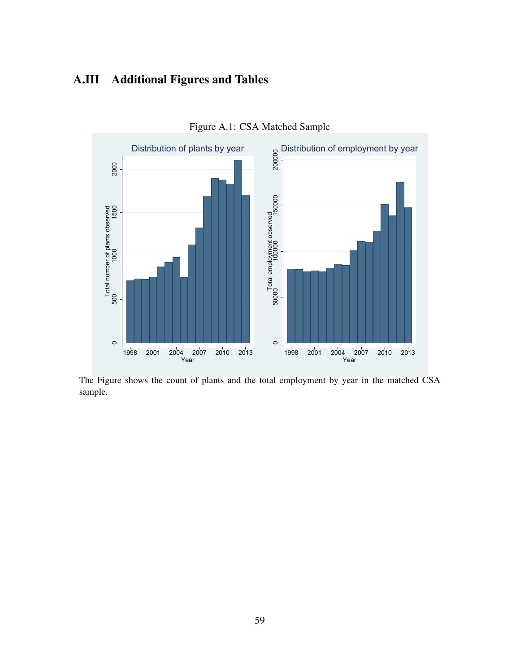## A.III Additional Figures and Tables



Figure A.1: CSA Matched Sample

The Figure shows the count of plants and the total employment by year in the matched CSA sample.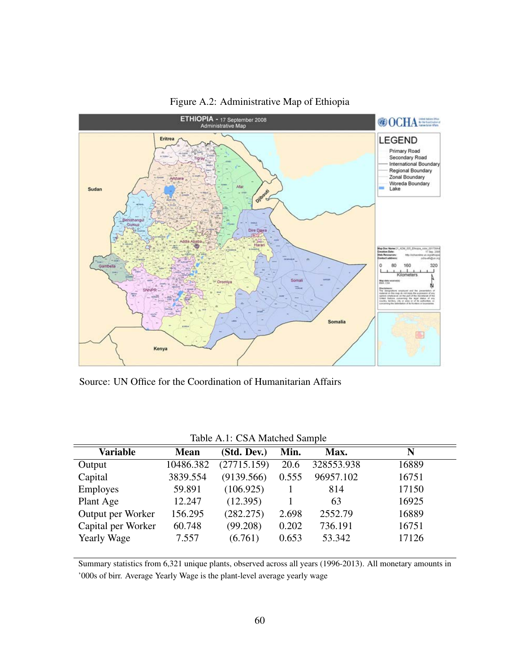

Figure A.2: Administrative Map of Ethiopia

Source: UN Office for the Coordination of Humanitarian Affairs

|                    |             | TAUR $\pi$ . CSA Marched Sample |       |            |       |
|--------------------|-------------|---------------------------------|-------|------------|-------|
| <b>Variable</b>    | <b>Mean</b> | (Std. Dev.)                     | Min.  | Max.       | N     |
| Output             | 10486.382   | (27715.159)                     | 20.6  | 328553.938 | 16889 |
| Capital            | 3839.554    | (9139.566)                      | 0.555 | 96957.102  | 16751 |
| <b>Employes</b>    | 59.891      | (106.925)                       |       | 814        | 17150 |
| Plant Age          | 12.247      | (12.395)                        |       | 63         | 16925 |
| Output per Worker  | 156.295     | (282.275)                       | 2.698 | 2552.79    | 16889 |
| Capital per Worker | 60.748      | (99.208)                        | 0.202 | 736.191    | 16751 |
| <b>Yearly Wage</b> | 7.557       | (6.761)                         | 0.653 | 53.342     | 17126 |
|                    |             |                                 |       |            |       |

Summary statistics from 6,321 unique plants, observed across all years (1996-2013). All monetary amounts in '000s of birr. Average Yearly Wage is the plant-level average yearly wage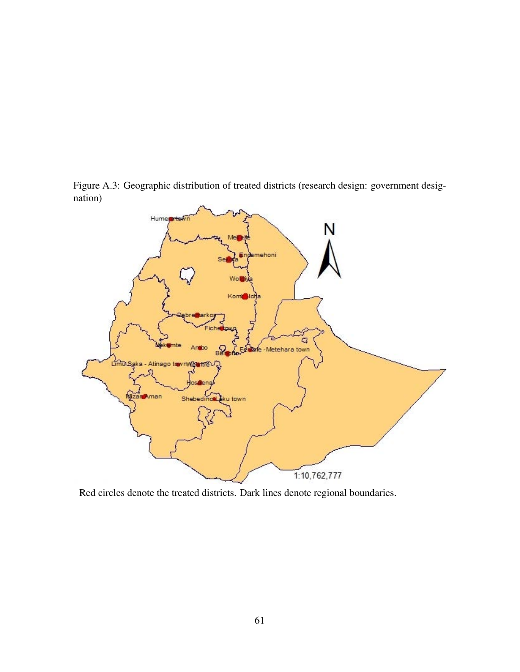Figure A.3: Geographic distribution of treated districts (research design: government designation)



Red circles denote the treated districts. Dark lines denote regional boundaries.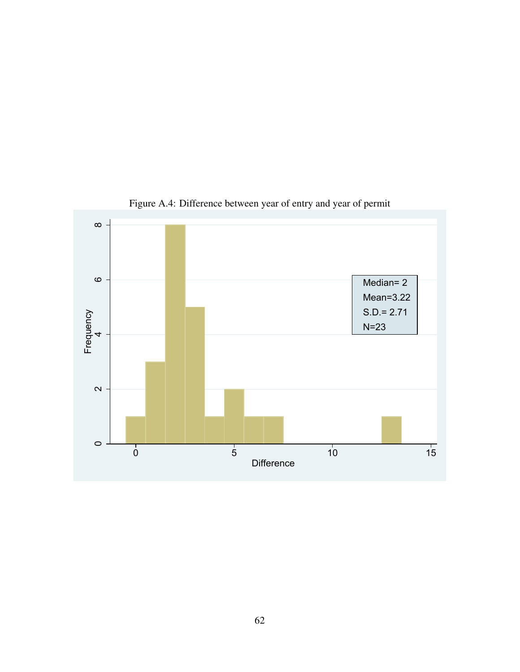

Figure A.4: Difference between year of entry and year of permit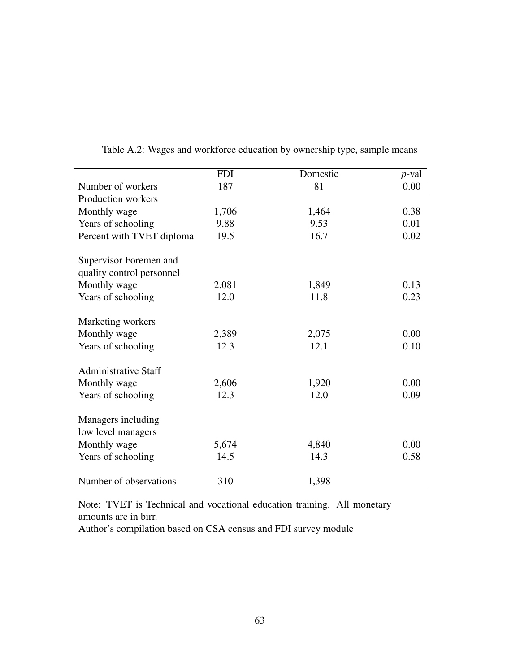|                             | <b>FDI</b> | Domestic | $p$ -val |
|-----------------------------|------------|----------|----------|
| Number of workers           | 187        | 81       | 0.00     |
| Production workers          |            |          |          |
| Monthly wage                | 1,706      | 1,464    | 0.38     |
| Years of schooling          | 9.88       | 9.53     | 0.01     |
| Percent with TVET diploma   | 19.5       | 16.7     | 0.02     |
| Supervisor Foremen and      |            |          |          |
| quality control personnel   |            |          |          |
| Monthly wage                | 2,081      | 1,849    | 0.13     |
| Years of schooling          | 12.0       | 11.8     | 0.23     |
| Marketing workers           |            |          |          |
| Monthly wage                | 2,389      | 2,075    | 0.00     |
| Years of schooling          | 12.3       | 12.1     | 0.10     |
| <b>Administrative Staff</b> |            |          |          |
| Monthly wage                | 2,606      | 1,920    | 0.00     |
| Years of schooling          | 12.3       | 12.0     | 0.09     |
| Managers including          |            |          |          |
| low level managers          |            |          |          |
| Monthly wage                | 5,674      | 4,840    | 0.00     |
| Years of schooling          | 14.5       | 14.3     | 0.58     |
| Number of observations      | 310        | 1,398    |          |

Table A.2: Wages and workforce education by ownership type, sample means

Note: TVET is Technical and vocational education training. All monetary amounts are in birr.

Author's compilation based on CSA census and FDI survey module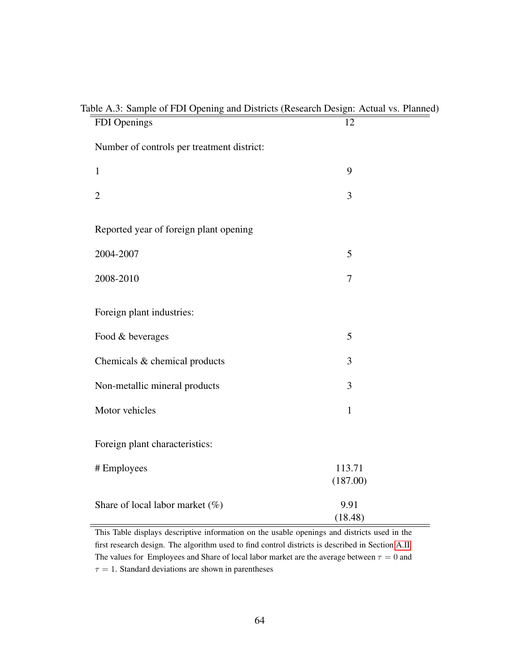| avic A.J. Sampic of PDI Opening and Districts (Research Design. Actual vs. 1 famicu)<br>FDI Openings | 12                 |
|------------------------------------------------------------------------------------------------------|--------------------|
| Number of controls per treatment district:                                                           |                    |
| $\mathbf{1}$                                                                                         | 9                  |
| $\overline{2}$                                                                                       | 3                  |
| Reported year of foreign plant opening                                                               |                    |
| 2004-2007                                                                                            | 5                  |
| 2008-2010                                                                                            | 7                  |
| Foreign plant industries:                                                                            |                    |
| Food & beverages                                                                                     | 5                  |
| Chemicals & chemical products                                                                        | 3                  |
| Non-metallic mineral products                                                                        | 3                  |
| Motor vehicles                                                                                       | $\mathbf{1}$       |
| Foreign plant characteristics:                                                                       |                    |
| # Employees                                                                                          | 113.71<br>(187.00) |
| Share of local labor market (%)                                                                      | 9.91<br>(18.48)    |

## Table A.3: Sample of FDI Opening and Districts (Research Design: Actual vs. Planned)

This Table displays descriptive information on the usable openings and districts used in the first research design. The algorithm used to find control districts is described in Section [A.II.](#page-58-0) The values for Employees and Share of local labor market are the average between  $\tau = 0$  and  $\tau = 1$ . Standard deviations are shown in parentheses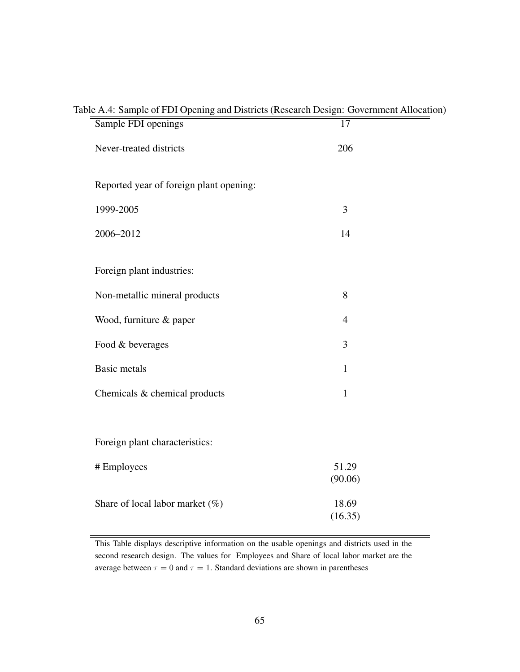| Sample FDI openings                     | $\overline{17}$  |
|-----------------------------------------|------------------|
| Never-treated districts                 | 206              |
| Reported year of foreign plant opening: |                  |
| 1999-2005                               | 3                |
| 2006-2012                               | 14               |
| Foreign plant industries:               |                  |
| Non-metallic mineral products           | 8                |
| Wood, furniture & paper                 | $\overline{4}$   |
| Food & beverages                        | 3                |
| <b>Basic metals</b>                     | $\mathbf{1}$     |
| Chemicals & chemical products           | $\mathbf{1}$     |
|                                         |                  |
| Foreign plant characteristics:          |                  |
| # Employees                             | 51.29<br>(90.06) |
| Share of local labor market $(\%)$      | 18.69<br>(16.35) |
|                                         |                  |

#### Table A.4: Sample of FDI Opening and Districts (Research Design: Government Allocation)

This Table displays descriptive information on the usable openings and districts used in the second research design. The values for Employees and Share of local labor market are the average between  $\tau = 0$  and  $\tau = 1$ . Standard deviations are shown in parentheses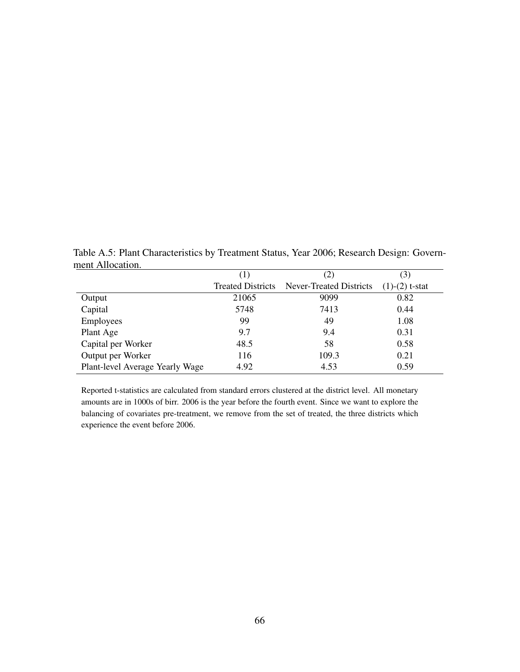Table A.5: Plant Characteristics by Treatment Status, Year 2006; Research Design: Government Allocation.

|                                 | (1)                      | (2)                            | (3)              |
|---------------------------------|--------------------------|--------------------------------|------------------|
|                                 | <b>Treated Districts</b> | <b>Never-Treated Districts</b> | $(1)-(2)$ t-stat |
| Output                          | 21065                    | 9099                           | 0.82             |
| Capital                         | 5748                     | 7413                           | 0.44             |
| Employees                       | 99                       | 49                             | 1.08             |
| Plant Age                       | 9.7                      | 9.4                            | 0.31             |
| Capital per Worker              | 48.5                     | 58                             | 0.58             |
| Output per Worker               | 116                      | 109.3                          | 0.21             |
| Plant-level Average Yearly Wage | 4.92                     | 4.53                           | 0.59             |

Reported t-statistics are calculated from standard errors clustered at the district level. All monetary amounts are in 1000s of birr. 2006 is the year before the fourth event. Since we want to explore the balancing of covariates pre-treatment, we remove from the set of treated, the three districts which experience the event before 2006.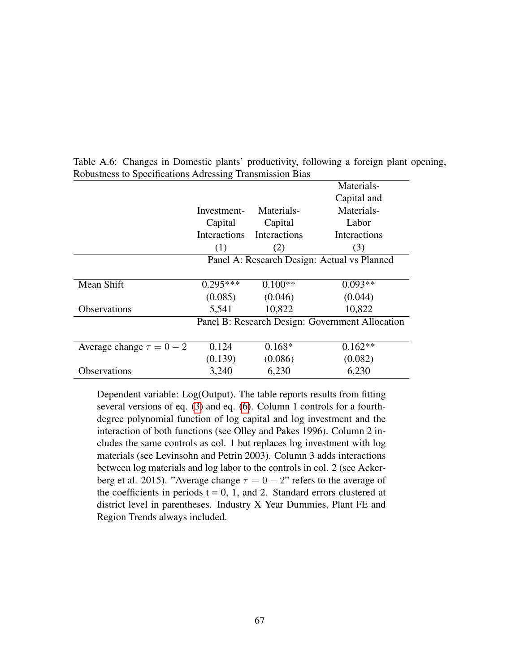|                               |                                                 |              | Materials-   |
|-------------------------------|-------------------------------------------------|--------------|--------------|
|                               |                                                 |              | Capital and  |
|                               | Investment-                                     | Materials-   | Materials-   |
|                               | Capital                                         | Capital      | Labor        |
|                               | Interactions                                    | Interactions | Interactions |
|                               | (1)                                             | (2)          | (3)          |
|                               | Panel A: Research Design: Actual vs Planned     |              |              |
|                               |                                                 |              |              |
| Mean Shift                    | $0.295***$                                      | $0.100**$    | $0.093**$    |
|                               | (0.085)                                         | (0.046)      | (0.044)      |
| <b>Observations</b>           | 5,541                                           | 10,822       | 10,822       |
|                               | Panel B: Research Design: Government Allocation |              |              |
|                               |                                                 |              |              |
| Average change $\tau = 0 - 2$ | 0.124                                           | $0.168*$     | $0.162**$    |
|                               | (0.139)                                         | (0.086)      | (0.082)      |
| Observations                  | 3,240                                           | 6,230        | 6,230        |
|                               |                                                 |              |              |

Table A.6: Changes in Domestic plants' productivity, following a foreign plant opening, Robustness to Specifications Adressing Transmission Bias

Dependent variable: Log(Output). The table reports results from fitting several versions of eq. [\(3\)](#page-51-0) and eq. [\(6\)](#page-24-0). Column 1 controls for a fourthdegree polynomial function of log capital and log investment and the interaction of both functions (see Olley and Pakes 1996). Column 2 includes the same controls as col. 1 but replaces log investment with log materials (see Levinsohn and Petrin 2003). Column 3 adds interactions between log materials and log labor to the controls in col. 2 (see Ackerberg et al. 2015). "Average change  $\tau = 0 - 2$ " refers to the average of the coefficients in periods  $t = 0, 1$ , and 2. Standard errors clustered at district level in parentheses. Industry X Year Dummies, Plant FE and Region Trends always included.